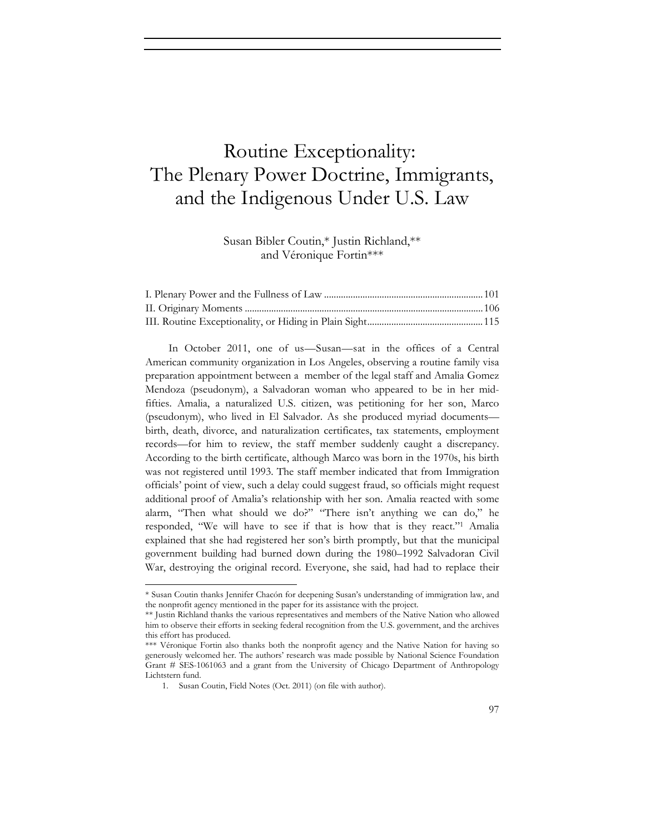## Routine Exceptionality: The Plenary Power Doctrine, Immigrants, and the Indigenous Under U.S. Law

Susan Bibler Coutin,\* Justin Richland,\*\* and Véronique Fortin\*\*\*

In October 2011, one of us—Susan—sat in the offices of a Central American community organization in Los Angeles, observing a routine family visa preparation appointment between a member of the legal staff and Amalia Gomez Mendoza (pseudonym), a Salvadoran woman who appeared to be in her midfifties. Amalia, a naturalized U.S. citizen, was petitioning for her son, Marco (pseudonym), who lived in El Salvador. As she produced myriad documents birth, death, divorce, and naturalization certificates, tax statements, employment records—for him to review, the staff member suddenly caught a discrepancy. According to the birth certificate, although Marco was born in the 1970s, his birth was not registered until 1993. The staff member indicated that from Immigration officials' point of view, such a delay could suggest fraud, so officials might request additional proof of Amalia's relationship with her son. Amalia reacted with some alarm, "Then what should we do?" "There isn't anything we can do," he responded, "We will have to see if that is how that is they react."1 Amalia explained that she had registered her son's birth promptly, but that the municipal government building had burned down during the 1980–1992 Salvadoran Civil War, destroying the original record. Everyone, she said, had had to replace their

<sup>\*</sup> Susan Coutin thanks Jennifer Chacón for deepening Susan's understanding of immigration law, and the nonprofit agency mentioned in the paper for its assistance with the project.

<sup>\*\*</sup> Justin Richland thanks the various representatives and members of the Native Nation who allowed him to observe their efforts in seeking federal recognition from the U.S. government, and the archives this effort has produced.

<sup>\*\*\*</sup> Véronique Fortin also thanks both the nonprofit agency and the Native Nation for having so generously welcomed her. The authors' research was made possible by National Science Foundation Grant # SES-1061063 and a grant from the University of Chicago Department of Anthropology Lichtstern fund.

<sup>1.</sup> Susan Coutin, Field Notes (Oct. 2011) (on file with author).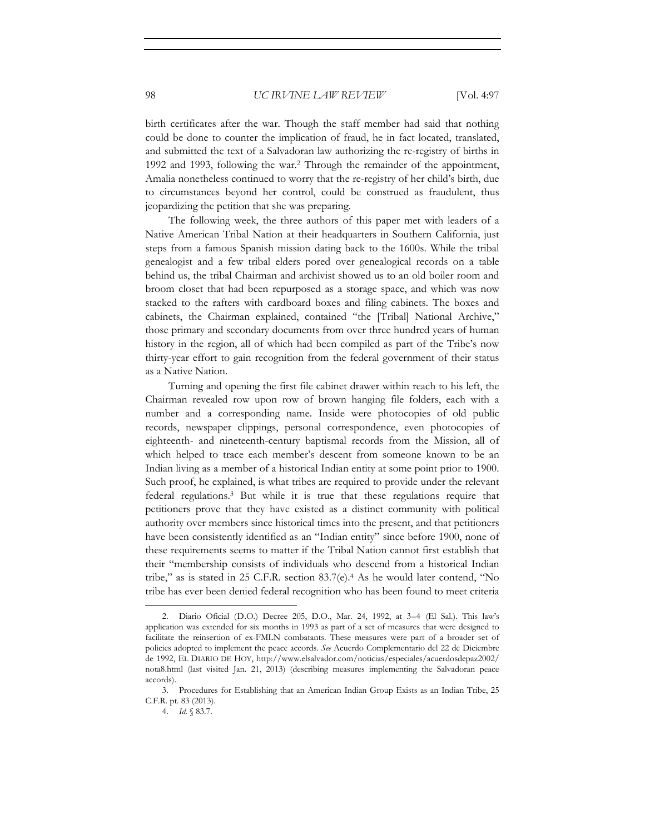birth certificates after the war. Though the staff member had said that nothing could be done to counter the implication of fraud, he in fact located, translated, and submitted the text of a Salvadoran law authorizing the re-registry of births in 1992 and 1993, following the war.2 Through the remainder of the appointment, Amalia nonetheless continued to worry that the re-registry of her child's birth, due to circumstances beyond her control, could be construed as fraudulent, thus jeopardizing the petition that she was preparing.

The following week, the three authors of this paper met with leaders of a Native American Tribal Nation at their headquarters in Southern California, just steps from a famous Spanish mission dating back to the 1600s. While the tribal genealogist and a few tribal elders pored over genealogical records on a table behind us, the tribal Chairman and archivist showed us to an old boiler room and broom closet that had been repurposed as a storage space, and which was now stacked to the rafters with cardboard boxes and filing cabinets. The boxes and cabinets, the Chairman explained, contained "the [Tribal] National Archive," those primary and secondary documents from over three hundred years of human history in the region, all of which had been compiled as part of the Tribe's now thirty-year effort to gain recognition from the federal government of their status as a Native Nation.

Turning and opening the first file cabinet drawer within reach to his left, the Chairman revealed row upon row of brown hanging file folders, each with a number and a corresponding name. Inside were photocopies of old public records, newspaper clippings, personal correspondence, even photocopies of eighteenth- and nineteenth-century baptismal records from the Mission, all of which helped to trace each member's descent from someone known to be an Indian living as a member of a historical Indian entity at some point prior to 1900. Such proof, he explained, is what tribes are required to provide under the relevant federal regulations.3 But while it is true that these regulations require that petitioners prove that they have existed as a distinct community with political authority over members since historical times into the present, and that petitioners have been consistently identified as an "Indian entity" since before 1900, none of these requirements seems to matter if the Tribal Nation cannot first establish that their "membership consists of individuals who descend from a historical Indian tribe," as is stated in 25 C.F.R. section 83.7(e).4 As he would later contend, "No tribe has ever been denied federal recognition who has been found to meet criteria

<sup>2.</sup> Diario Oficial (D.O.) Decree 205, D.O., Mar. 24, 1992, at 3–4 (El Sal.). This law's application was extended for six months in 1993 as part of a set of measures that were designed to facilitate the reinsertion of ex-FMLN combatants. These measures were part of a broader set of policies adopted to implement the peace accords. *See* Acuerdo Complementario del 22 de Diciembre de 1992, EL DIARIO DE HOY, http://www.elsalvador.com/noticias/especiales/acuerdosdepaz2002/ nota8.html (last visited Jan. 21, 2013) (describing measures implementing the Salvadoran peace accords).

<sup>3.</sup> Procedures for Establishing that an American Indian Group Exists as an Indian Tribe, 25 C.F.R. pt. 83 (2013).

<sup>4.</sup> *Id.* § 83.7.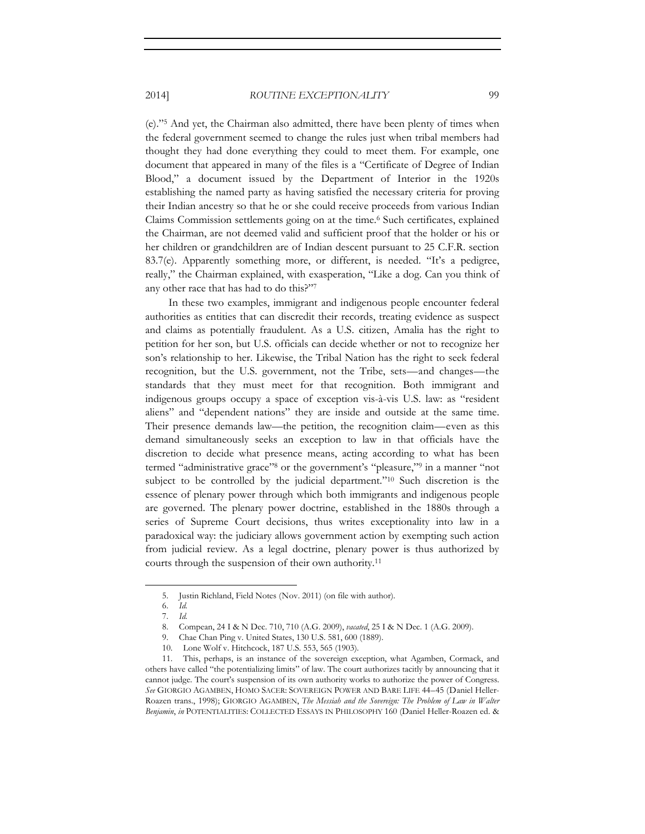(e)."5 And yet, the Chairman also admitted, there have been plenty of times when the federal government seemed to change the rules just when tribal members had thought they had done everything they could to meet them. For example, one document that appeared in many of the files is a "Certificate of Degree of Indian Blood," a document issued by the Department of Interior in the 1920s establishing the named party as having satisfied the necessary criteria for proving their Indian ancestry so that he or she could receive proceeds from various Indian Claims Commission settlements going on at the time.6 Such certificates, explained the Chairman, are not deemed valid and sufficient proof that the holder or his or her children or grandchildren are of Indian descent pursuant to 25 C.F.R. section 83.7(e). Apparently something more, or different, is needed. "It's a pedigree, really," the Chairman explained, with exasperation, "Like a dog. Can you think of any other race that has had to do this?"7

In these two examples, immigrant and indigenous people encounter federal authorities as entities that can discredit their records, treating evidence as suspect and claims as potentially fraudulent. As a U.S. citizen, Amalia has the right to petition for her son, but U.S. officials can decide whether or not to recognize her son's relationship to her. Likewise, the Tribal Nation has the right to seek federal recognition, but the U.S. government, not the Tribe, sets—and changes—the standards that they must meet for that recognition. Both immigrant and indigenous groups occupy a space of exception vis-à-vis U.S. law: as "resident aliens" and "dependent nations" they are inside and outside at the same time. Their presence demands law—the petition, the recognition claim—even as this demand simultaneously seeks an exception to law in that officials have the discretion to decide what presence means, acting according to what has been termed "administrative grace"8 or the government's "pleasure,"9 in a manner "not subject to be controlled by the judicial department."10 Such discretion is the essence of plenary power through which both immigrants and indigenous people are governed. The plenary power doctrine, established in the 1880s through a series of Supreme Court decisions, thus writes exceptionality into law in a paradoxical way: the judiciary allows government action by exempting such action from judicial review. As a legal doctrine, plenary power is thus authorized by courts through the suspension of their own authority.11

<sup>5.</sup> Justin Richland, Field Notes (Nov. 2011) (on file with author).

<sup>6.</sup> *Id.*

<sup>7.</sup> *Id.*

<sup>8.</sup> Compean, 24 I & N Dec. 710, 710 (A.G. 2009), *vacated*, 25 I & N Dec. 1 (A.G. 2009).

<sup>9.</sup> Chae Chan Ping v. United States, 130 U.S. 581, 600 (1889).

<sup>10.</sup> Lone Wolf v. Hitchcock, 187 U.S. 553, 565 (1903).

<sup>11.</sup> This, perhaps, is an instance of the sovereign exception, what Agamben, Cormack, and others have called "the potentializing limits" of law. The court authorizes tacitly by announcing that it cannot judge. The court's suspension of its own authority works to authorize the power of Congress. *See* GIORGIO AGAMBEN, HOMO SACER: SOVEREIGN POWER AND BARE LIFE 44–45 (Daniel Heller-Roazen trans., 1998); GIORGIO AGAMBEN, *The Messiah and the Sovereign: The Problem of Law in Walter Benjamin*, *in* POTENTIALITIES: COLLECTED ESSAYS IN PHILOSOPHY 160 (Daniel Heller-Roazen ed. &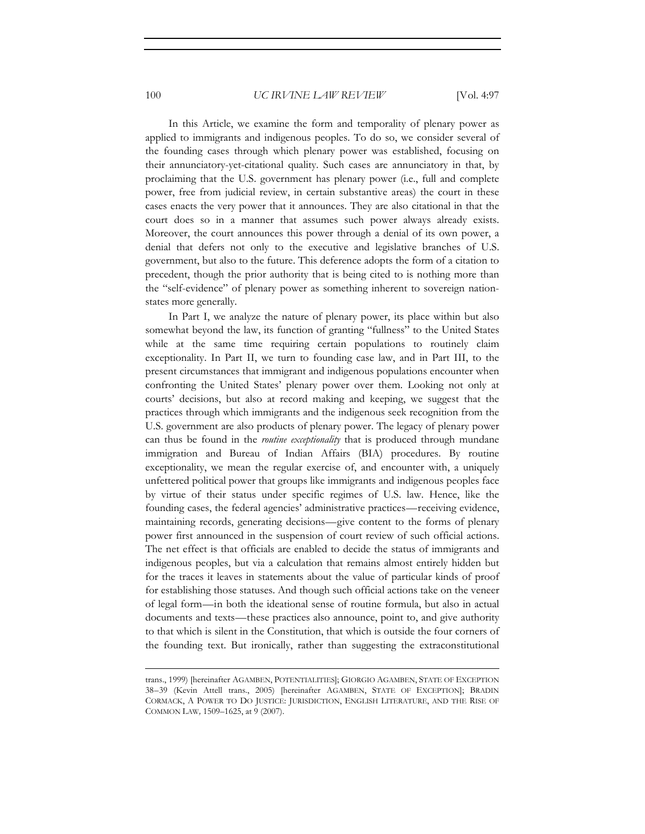In this Article, we examine the form and temporality of plenary power as applied to immigrants and indigenous peoples. To do so, we consider several of the founding cases through which plenary power was established, focusing on their annunciatory-yet-citational quality. Such cases are annunciatory in that, by proclaiming that the U.S. government has plenary power (i.e., full and complete power, free from judicial review, in certain substantive areas) the court in these cases enacts the very power that it announces. They are also citational in that the court does so in a manner that assumes such power always already exists. Moreover, the court announces this power through a denial of its own power, a denial that defers not only to the executive and legislative branches of U.S. government, but also to the future. This deference adopts the form of a citation to precedent, though the prior authority that is being cited to is nothing more than the "self-evidence" of plenary power as something inherent to sovereign nationstates more generally.

In Part I, we analyze the nature of plenary power, its place within but also somewhat beyond the law, its function of granting "fullness" to the United States while at the same time requiring certain populations to routinely claim exceptionality. In Part II, we turn to founding case law, and in Part III, to the present circumstances that immigrant and indigenous populations encounter when confronting the United States' plenary power over them. Looking not only at courts' decisions, but also at record making and keeping, we suggest that the practices through which immigrants and the indigenous seek recognition from the U.S. government are also products of plenary power. The legacy of plenary power can thus be found in the *routine exceptionality* that is produced through mundane immigration and Bureau of Indian Affairs (BIA) procedures. By routine exceptionality, we mean the regular exercise of, and encounter with, a uniquely unfettered political power that groups like immigrants and indigenous peoples face by virtue of their status under specific regimes of U.S. law. Hence, like the founding cases, the federal agencies' administrative practices—receiving evidence, maintaining records, generating decisions—give content to the forms of plenary power first announced in the suspension of court review of such official actions. The net effect is that officials are enabled to decide the status of immigrants and indigenous peoples, but via a calculation that remains almost entirely hidden but for the traces it leaves in statements about the value of particular kinds of proof for establishing those statuses. And though such official actions take on the veneer of legal form—in both the ideational sense of routine formula, but also in actual documents and texts—these practices also announce, point to, and give authority to that which is silent in the Constitution, that which is outside the four corners of the founding text. But ironically, rather than suggesting the extraconstitutional

trans., 1999) [hereinafter AGAMBEN, POTENTIALITIES]; GIORGIO AGAMBEN, STATE OF EXCEPTION 38–39 (Kevin Attell trans., 2005) [hereinafter AGAMBEN, STATE OF EXCEPTION]; BRADIN CORMACK, A POWER TO DO JUSTICE: JURISDICTION, ENGLISH LITERATURE, AND THE RISE OF COMMON LAW*,* 1509–1625, at 9 (2007).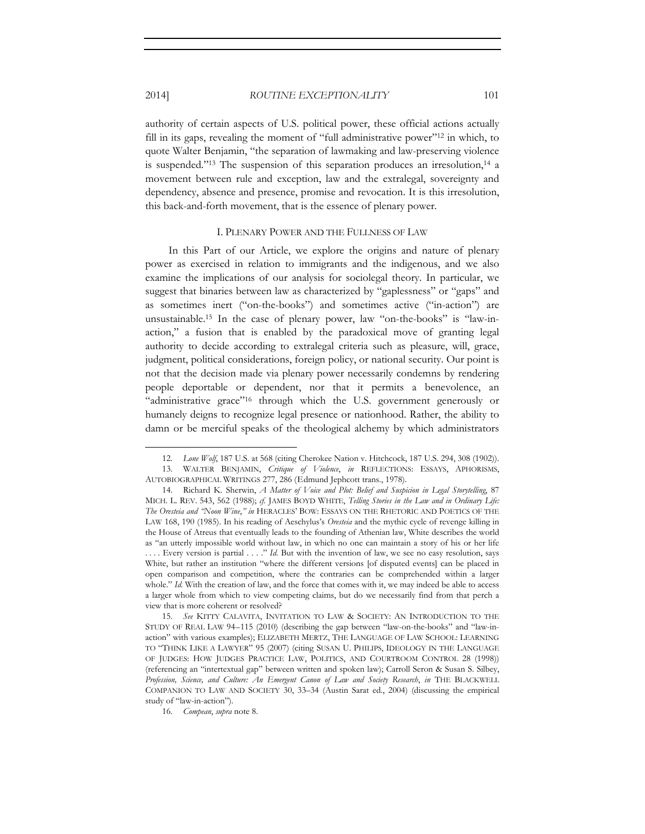authority of certain aspects of U.S. political power, these official actions actually fill in its gaps, revealing the moment of "full administrative power"12 in which, to quote Walter Benjamin, "the separation of lawmaking and law-preserving violence is suspended."<sup>13</sup> The suspension of this separation produces an irresolution, $14$  a movement between rule and exception, law and the extralegal, sovereignty and dependency, absence and presence, promise and revocation. It is this irresolution, this back-and-forth movement, that is the essence of plenary power.

## I. PLENARY POWER AND THE FULLNESS OF LAW

In this Part of our Article, we explore the origins and nature of plenary power as exercised in relation to immigrants and the indigenous, and we also examine the implications of our analysis for sociolegal theory. In particular, we suggest that binaries between law as characterized by "gaplessness" or "gaps" and as sometimes inert ("on-the-books") and sometimes active ("in-action") are unsustainable.15 In the case of plenary power, law "on-the-books" is "law-inaction," a fusion that is enabled by the paradoxical move of granting legal authority to decide according to extralegal criteria such as pleasure, will, grace, judgment, political considerations, foreign policy, or national security. Our point is not that the decision made via plenary power necessarily condemns by rendering people deportable or dependent, nor that it permits a benevolence, an "administrative grace"16 through which the U.S. government generously or humanely deigns to recognize legal presence or nationhood. Rather, the ability to damn or be merciful speaks of the theological alchemy by which administrators

<sup>12.</sup> *Lone Wolf*, 187 U.S. at 568 (citing Cherokee Nation v. Hitchcock, 187 U.S. 294, 308 (1902)).

<sup>13.</sup> WALTER BENJAMIN, *Critique of Violence*, *in* REFLECTIONS: ESSAYS, APHORISMS, AUTOBIOGRAPHICAL WRITINGS 277, 286 (Edmund Jephcott trans., 1978).

<sup>14.</sup> Richard K. Sherwin, *A Matter of Voice and Plot: Belief and Suspicion in Legal Storytelling*, 87 MICH. L. REV. 543, 562 (1988); *cf.* JAMES BOYD WHITE, *Telling Stories in the Law and in Ordinary Life: The Oresteia and "Noon Wine*,*" in* HERACLES' BOW: ESSAYS ON THE RHETORIC AND POETICS OF THE LAW 168, 190 (1985). In his reading of Aeschylus's *Oresteia* and the mythic cycle of revenge killing in the House of Atreus that eventually leads to the founding of Athenian law, White describes the world as "an utterly impossible world without law, in which no one can maintain a story of his or her life . . . . Every version is partial . . . ." *Id.* But with the invention of law, we see no easy resolution, says White, but rather an institution "where the different versions [of disputed events] can be placed in open comparison and competition, where the contraries can be comprehended within a larger whole." *Id.* With the creation of law, and the force that comes with it, we may indeed be able to access a larger whole from which to view competing claims, but do we necessarily find from that perch a view that is more coherent or resolved?

<sup>15.</sup> *See* KITTY CALAVITA, INVITATION TO LAW & SOCIETY: AN INTRODUCTION TO THE STUDY OF REAL LAW 94–115 (2010) (describing the gap between "law-on-the-books" and "law-inaction" with various examples); ELIZABETH MERTZ, THE LANGUAGE OF LAW SCHOOL: LEARNING TO "THINK LIKE A LAWYER" 95 (2007) (citing SUSAN U. PHILIPS, IDEOLOGY IN THE LANGUAGE OF JUDGES: HOW JUDGES PRACTICE LAW, POLITICS, AND COURTROOM CONTROL 28 (1998)) (referencing an "intertextual gap" between written and spoken law); Carroll Seron & Susan S. Silbey, *Profession, Science, and Culture: An Emergent Canon of Law and Society Research*, *in* THE BLACKWELL COMPANION TO LAW AND SOCIETY 30, 33–34 (Austin Sarat ed., 2004) (discussing the empirical study of "law-in-action").

<sup>16.</sup> *Compean*, *supra* note 8.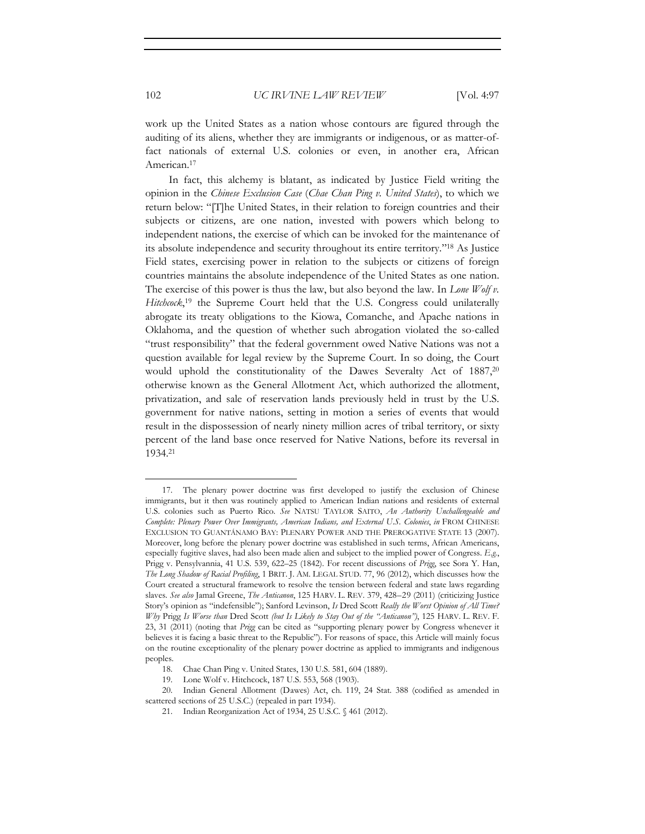work up the United States as a nation whose contours are figured through the auditing of its aliens, whether they are immigrants or indigenous, or as matter-offact nationals of external U.S. colonies or even, in another era, African American.17

In fact, this alchemy is blatant, as indicated by Justice Field writing the opinion in the *Chinese Exclusion Case* (*Chae Chan Ping v. United States*), to which we return below: "[T]he United States, in their relation to foreign countries and their subjects or citizens, are one nation, invested with powers which belong to independent nations, the exercise of which can be invoked for the maintenance of its absolute independence and security throughout its entire territory."18 As Justice Field states, exercising power in relation to the subjects or citizens of foreign countries maintains the absolute independence of the United States as one nation. The exercise of this power is thus the law, but also beyond the law. In *Lone Wolf v.*  Hitchcock,<sup>19</sup> the Supreme Court held that the U.S. Congress could unilaterally abrogate its treaty obligations to the Kiowa, Comanche, and Apache nations in Oklahoma, and the question of whether such abrogation violated the so-called "trust responsibility" that the federal government owed Native Nations was not a question available for legal review by the Supreme Court. In so doing, the Court would uphold the constitutionality of the Dawes Severalty Act of 1887,<sup>20</sup> otherwise known as the General Allotment Act, which authorized the allotment, privatization, and sale of reservation lands previously held in trust by the U.S. government for native nations, setting in motion a series of events that would result in the dispossession of nearly ninety million acres of tribal territory, or sixty percent of the land base once reserved for Native Nations, before its reversal in 1934.21

<sup>17.</sup> The plenary power doctrine was first developed to justify the exclusion of Chinese immigrants, but it then was routinely applied to American Indian nations and residents of external U.S. colonies such as Puerto Rico. *See* NATSU TAYLOR SAITO, *An Authority Unchallengeable and Complete: Plenary Power Over Immigrants, American Indians, and External U*.*S*. *Colonies*, *in* FROM CHINESE EXCLUSION TO GUANTÁNAMO BAY: PLENARY POWER AND THE PREROGATIVE STATE 13 (2007). Moreover, long before the plenary power doctrine was established in such terms, African Americans, especially fugitive slaves, had also been made alien and subject to the implied power of Congress. *E*.*g.*, Prigg v. Pensylvannia, 41 U.S. 539, 622–25 (1842). For recent discussions of *Prigg*, see Sora Y. Han, *The Long Shadow of Racial Profiling*, 1 BRIT. J. AM. LEGAL STUD. 77, 96 (2012), which discusses how the Court created a structural framework to resolve the tension between federal and state laws regarding slaves. *See also* Jamal Greene, *The Anticanon*, 125 HARV. L. REV. 379, 428–29 (2011) (criticizing Justice Story's opinion as "indefensible"); Sanford Levinson, *Is* Dred Scott *Really the Worst Opinion of All Time? Why* Prigg *Is Worse than* Dred Scott *(but Is Likely to Stay Out of the "Anticanon")*, 125 HARV. L. REV. F. 23, 31 (2011) (noting that *Prigg* can be cited as "supporting plenary power by Congress whenever it believes it is facing a basic threat to the Republic"). For reasons of space, this Article will mainly focus on the routine exceptionality of the plenary power doctrine as applied to immigrants and indigenous peoples.

<sup>18.</sup> Chae Chan Ping v. United States, 130 U.S. 581, 604 (1889).

<sup>19.</sup> Lone Wolf v. Hitchcock, 187 U.S. 553, 568 (1903).

<sup>20.</sup> Indian General Allotment (Dawes) Act, ch. 119, 24 Stat. 388 (codified as amended in scattered sections of 25 U.S.C.) (repealed in part 1934).

<sup>21.</sup> Indian Reorganization Act of 1934, 25 U.S.C. § 461 (2012).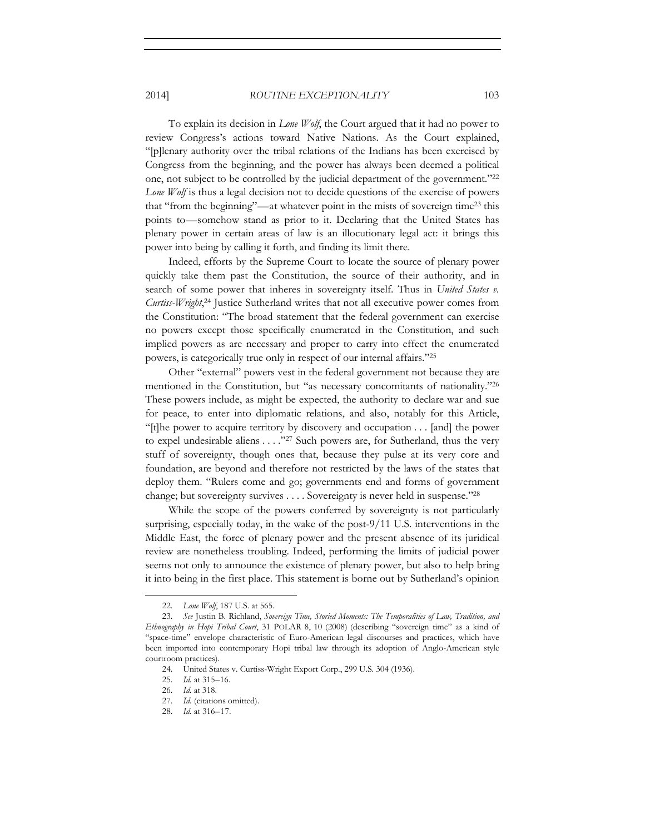To explain its decision in *Lone Wolf*, the Court argued that it had no power to review Congress's actions toward Native Nations. As the Court explained, "[p]lenary authority over the tribal relations of the Indians has been exercised by Congress from the beginning, and the power has always been deemed a political one, not subject to be controlled by the judicial department of the government."22 *Lone Wolf* is thus a legal decision not to decide questions of the exercise of powers that "from the beginning"—at whatever point in the mists of sovereign time23 this points to—somehow stand as prior to it. Declaring that the United States has plenary power in certain areas of law is an illocutionary legal act: it brings this power into being by calling it forth, and finding its limit there.

Indeed, efforts by the Supreme Court to locate the source of plenary power quickly take them past the Constitution, the source of their authority, and in search of some power that inheres in sovereignty itself. Thus in *United States v. Curtiss-Wright*, 24 Justice Sutherland writes that not all executive power comes from the Constitution: "The broad statement that the federal government can exercise no powers except those specifically enumerated in the Constitution, and such implied powers as are necessary and proper to carry into effect the enumerated powers, is categorically true only in respect of our internal affairs."25

Other "external" powers vest in the federal government not because they are mentioned in the Constitution, but "as necessary concomitants of nationality."26 These powers include, as might be expected, the authority to declare war and sue for peace, to enter into diplomatic relations, and also, notably for this Article, "[t]he power to acquire territory by discovery and occupation . . . [and] the power to expel undesirable aliens . . . ."27 Such powers are, for Sutherland, thus the very stuff of sovereignty, though ones that, because they pulse at its very core and foundation, are beyond and therefore not restricted by the laws of the states that deploy them. "Rulers come and go; governments end and forms of government change; but sovereignty survives . . . . Sovereignty is never held in suspense."28

While the scope of the powers conferred by sovereignty is not particularly surprising, especially today, in the wake of the post-9/11 U.S. interventions in the Middle East, the force of plenary power and the present absence of its juridical review are nonetheless troubling. Indeed, performing the limits of judicial power seems not only to announce the existence of plenary power, but also to help bring it into being in the first place. This statement is borne out by Sutherland's opinion

 $\overline{a}$ 

28. *Id.* at 316–17.

<sup>22.</sup> *Lone Wolf*, 187 U.S. at 565.

<sup>23.</sup> *See* Justin B. Richland, *Sovereign Time, Storied Moments: The Temporalities of Law, Tradition, and Ethnography in Hopi Tribal Court*, 31 POLAR 8, 10 (2008) (describing "sovereign time" as a kind of "space-time" envelope characteristic of Euro-American legal discourses and practices, which have been imported into contemporary Hopi tribal law through its adoption of Anglo-American style courtroom practices).

<sup>24.</sup> United States v. Curtiss-Wright Export Corp., 299 U.S. 304 (1936).

<sup>25.</sup> *Id.* at 315–16.

<sup>26.</sup> *Id.* at 318.

<sup>27.</sup> *Id.* (citations omitted).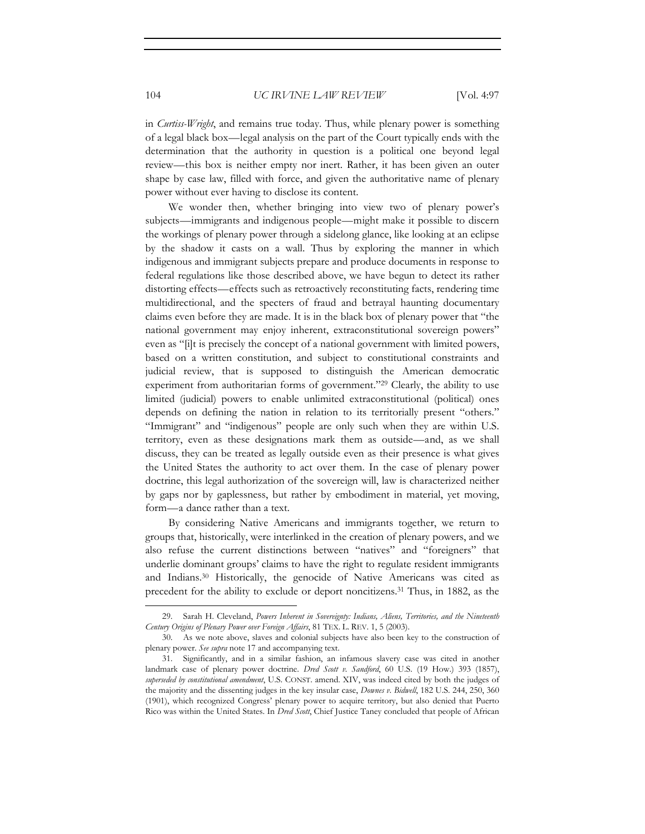in *Curtiss-Wright*, and remains true today. Thus, while plenary power is something of a legal black box—legal analysis on the part of the Court typically ends with the determination that the authority in question is a political one beyond legal review—this box is neither empty nor inert. Rather, it has been given an outer shape by case law, filled with force, and given the authoritative name of plenary power without ever having to disclose its content.

We wonder then, whether bringing into view two of plenary power's subjects—immigrants and indigenous people—might make it possible to discern the workings of plenary power through a sidelong glance, like looking at an eclipse by the shadow it casts on a wall. Thus by exploring the manner in which indigenous and immigrant subjects prepare and produce documents in response to federal regulations like those described above, we have begun to detect its rather distorting effects—effects such as retroactively reconstituting facts, rendering time multidirectional, and the specters of fraud and betrayal haunting documentary claims even before they are made. It is in the black box of plenary power that "the national government may enjoy inherent, extraconstitutional sovereign powers" even as "[i]t is precisely the concept of a national government with limited powers, based on a written constitution, and subject to constitutional constraints and judicial review, that is supposed to distinguish the American democratic experiment from authoritarian forms of government."29 Clearly, the ability to use limited (judicial) powers to enable unlimited extraconstitutional (political) ones depends on defining the nation in relation to its territorially present "others." "Immigrant" and "indigenous" people are only such when they are within U.S. territory, even as these designations mark them as outside—and, as we shall discuss, they can be treated as legally outside even as their presence is what gives the United States the authority to act over them. In the case of plenary power doctrine, this legal authorization of the sovereign will, law is characterized neither by gaps nor by gaplessness, but rather by embodiment in material, yet moving, form—a dance rather than a text.

By considering Native Americans and immigrants together, we return to groups that, historically, were interlinked in the creation of plenary powers, and we also refuse the current distinctions between "natives" and "foreigners" that underlie dominant groups' claims to have the right to regulate resident immigrants and Indians.30 Historically, the genocide of Native Americans was cited as precedent for the ability to exclude or deport noncitizens.31 Thus, in 1882, as the

<sup>29.</sup> Sarah H. Cleveland, *Powers Inherent in Sovereignty: Indians, Aliens, Territories, and the Nineteenth Century Origins of Plenary Power over Foreign Affairs*, 81 TEX. L. REV. 1, 5 (2003).

<sup>30.</sup> As we note above, slaves and colonial subjects have also been key to the construction of plenary power. *See supra* note 17 and accompanying text.

<sup>31.</sup> Significantly, and in a similar fashion, an infamous slavery case was cited in another landmark case of plenary power doctrine. *Dred Scott v. Sandford*, 60 U.S. (19 How.) 393 (1857), *superseded by constitutional amendment*, U.S. CONST. amend. XIV, was indeed cited by both the judges of the majority and the dissenting judges in the key insular case, *Downes v*. *Bidwell*, 182 U.S. 244, 250, 360 (1901), which recognized Congress' plenary power to acquire territory, but also denied that Puerto Rico was within the United States. In *Dred Scott*, Chief Justice Taney concluded that people of African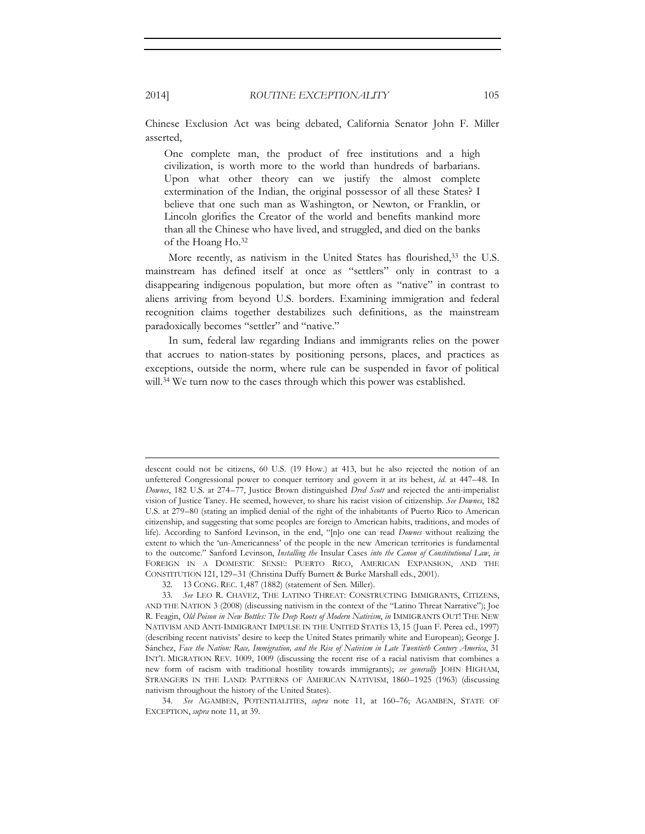Chinese Exclusion Act was being debated, California Senator John F. Miller asserted,

One complete man, the product of free institutions and a high civilization, is worth more to the world than hundreds of barbarians. Upon what other theory can we justify the almost complete extermination of the Indian, the original possessor of all these States? I believe that one such man as Washington, or Newton, or Franklin, or Lincoln glorifies the Creator of the world and benefits mankind more than all the Chinese who have lived, and struggled, and died on the banks of the Hoang Ho.32

More recently, as nativism in the United States has flourished,<sup>33</sup> the U.S. mainstream has defined itself at once as "settlers" only in contrast to a disappearing indigenous population, but more often as "native" in contrast to aliens arriving from beyond U.S. borders. Examining immigration and federal recognition claims together destabilizes such definitions, as the mainstream paradoxically becomes "settler" and "native."

In sum, federal law regarding Indians and immigrants relies on the power that accrues to nation-states by positioning persons, places, and practices as exceptions, outside the norm, where rule can be suspended in favor of political will.<sup>34</sup> We turn now to the cases through which this power was established.

descent could not be citizens, 60 U.S. (19 How.) at 413, but he also rejected the notion of an unfettered Congressional power to conquer territory and govern it at its behest, *id.* at 447–48. In *Downes*, 182 U.S. at 274–77, Justice Brown distinguished *Dred Scott* and rejected the anti-imperialist vision of Justice Taney. He seemed, however, to share his racist vision of citizenship. *See Downes*, 182 U.S. at 279–80 (stating an implied denial of the right of the inhabitants of Puerto Rico to American citizenship, and suggesting that some peoples are foreign to American habits, traditions, and modes of life). According to Sanford Levinson, in the end, "[n]o one can read *Downes* without realizing the extent to which the 'un-Americanness' of the people in the new American territories is fundamental to the outcome." Sanford Levinson, *Installing the* Insular Cases *into the Canon of Constitutional Law*, *in* FOREIGN IN A DOMESTIC SENSE: PUERTO RICO, AMERICAN EXPANSION, AND THE CONSTITUTION 121, 129–31 (Christina Duffy Burnett & Burke Marshall eds., 2001).

<sup>32. 13</sup> CONG. REC. 1,487 (1882) (statement of Sen. Miller).

<sup>33.</sup> *See* LEO R. CHAVEZ, THE LATINO THREAT: CONSTRUCTING IMMIGRANTS, CITIZENS, AND THE NATION 3 (2008) (discussing nativism in the context of the "Latino Threat Narrative"); Joe R. Feagin, *Old Poison in New Bottles: The Deep Roots of Modern Nativism*, *in* IMMIGRANTS OUT! THE NEW NATIVISM AND ANTI-IMMIGRANT IMPULSE IN THE UNITED STATES 13, 15 (Juan F. Perea ed., 1997) (describing recent nativists' desire to keep the United States primarily white and European); George J. Sánchez, *Face the Nation: Race, Immigration, and the Rise of Nativism in Late Twentieth Century America*, 31 INT'L MIGRATION REV. 1009, 1009 (discussing the recent rise of a racial nativism that combines a new form of racism with traditional hostility towards immigrants); *see generally* JOHN HIGHAM, STRANGERS IN THE LAND: PATTERNS OF AMERICAN NATIVISM, 1860–1925 (1963) (discussing nativism throughout the history of the United States).

<sup>34.</sup> *See* AGAMBEN, POTENTIALITIES, *supra* note 11, at 160–76; AGAMBEN, STATE OF EXCEPTION, *supra* note 11, at 39.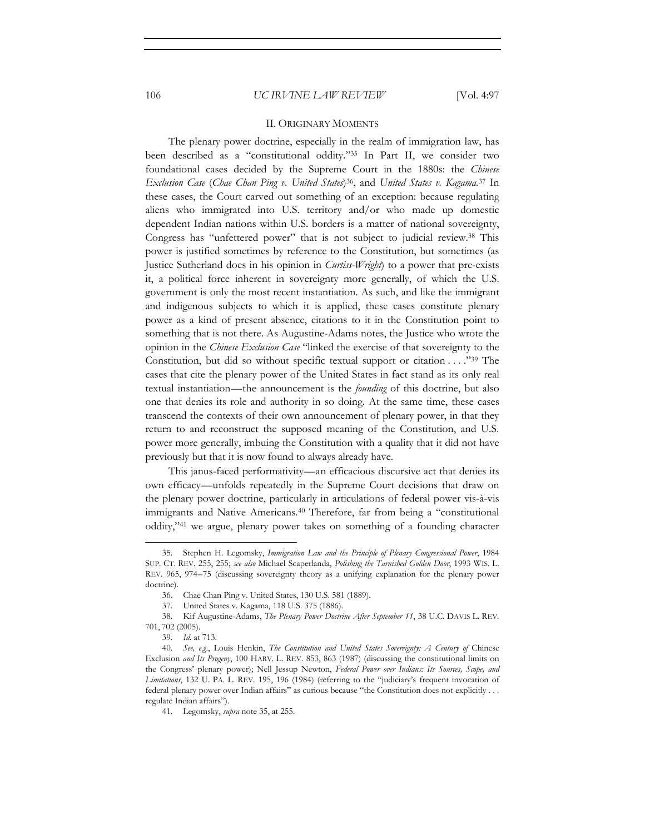## II. ORIGINARY MOMENTS

The plenary power doctrine, especially in the realm of immigration law, has been described as a "constitutional oddity."35 In Part II, we consider two foundational cases decided by the Supreme Court in the 1880s: the *Chinese Exclusion Case* (*Chae Chan Ping v. United States*)36, and *United States v. Kagama.*<sup>37</sup> In these cases, the Court carved out something of an exception: because regulating aliens who immigrated into U.S. territory and/or who made up domestic dependent Indian nations within U.S. borders is a matter of national sovereignty, Congress has "unfettered power" that is not subject to judicial review.38 This power is justified sometimes by reference to the Constitution, but sometimes (as Justice Sutherland does in his opinion in *Curtiss-Wright*) to a power that pre-exists it, a political force inherent in sovereignty more generally, of which the U.S. government is only the most recent instantiation. As such, and like the immigrant and indigenous subjects to which it is applied, these cases constitute plenary power as a kind of present absence, citations to it in the Constitution point to something that is not there. As Augustine-Adams notes, the Justice who wrote the opinion in the *Chinese Exclusion Case* "linked the exercise of that sovereignty to the Constitution, but did so without specific textual support or citation . . . ."39 The cases that cite the plenary power of the United States in fact stand as its only real textual instantiation—the announcement is the *founding* of this doctrine, but also one that denies its role and authority in so doing. At the same time, these cases transcend the contexts of their own announcement of plenary power, in that they return to and reconstruct the supposed meaning of the Constitution, and U.S. power more generally, imbuing the Constitution with a quality that it did not have previously but that it is now found to always already have.

This janus-faced performativity—an efficacious discursive act that denies its own efficacy—unfolds repeatedly in the Supreme Court decisions that draw on the plenary power doctrine, particularly in articulations of federal power vis-à-vis immigrants and Native Americans*.* <sup>40</sup> Therefore, far from being a "constitutional oddity,"41 we argue, plenary power takes on something of a founding character

<sup>35.</sup> Stephen H. Legomsky, *Immigration Law and the Principle of Plenary Congressional Power*, 1984 SUP. CT. REV. 255, 255; *see also* Michael Scaperlanda, *Polishing the Tarnished Golden Door*, 1993 WIS. L. REV. 965, 974–75 (discussing sovereignty theory as a unifying explanation for the plenary power doctrine).

<sup>36.</sup> Chae Chan Ping v. United States, 130 U.S. 581 (1889).

<sup>37.</sup> United States v. Kagama, 118 U.S. 375 (1886).

<sup>38.</sup> Kif Augustine-Adams, *The Plenary Power Doctrine After September 11*, 38 U.C. DAVIS L. REV. 701, 702 (2005).

<sup>39.</sup> *Id.* at 713.

<sup>40.</sup> *See, e*.*g*., Louis Henkin, *The Constitution and United States Sovereignty: A Century of* Chinese Exclusion *and Its Progeny*, 100 HARV. L. REV. 853, 863 (1987) (discussing the constitutional limits on the Congress' plenary power); Nell Jessup Newton, *Federal Power over Indians: Its Sources, Scope, and Limitations*, 132 U. PA. L. REV. 195, 196 (1984) (referring to the "judiciary's frequent invocation of federal plenary power over Indian affairs" as curious because "the Constitution does not explicitly . . . regulate Indian affairs").

<sup>41.</sup> Legomsky, *supra* note 35, at 255.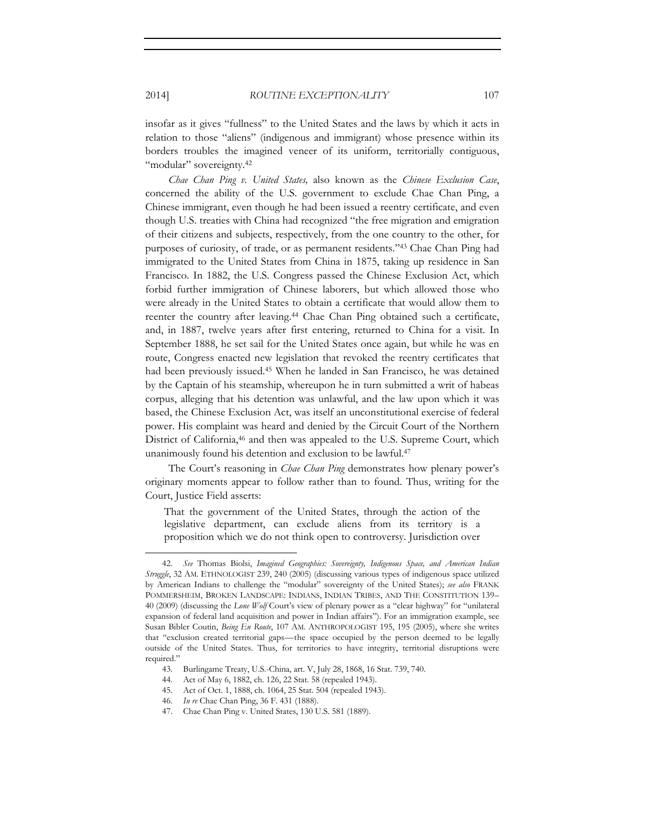insofar as it gives "fullness" to the United States and the laws by which it acts in relation to those "aliens" (indigenous and immigrant) whose presence within its borders troubles the imagined veneer of its uniform, territorially contiguous, "modular" sovereignty.<sup>42</sup>

*Chae Chan Ping v. United States,* also known as the *Chinese Exclusion Case*, concerned the ability of the U.S. government to exclude Chae Chan Ping, a Chinese immigrant, even though he had been issued a reentry certificate, and even though U.S. treaties with China had recognized "the free migration and emigration of their citizens and subjects, respectively, from the one country to the other, for purposes of curiosity, of trade, or as permanent residents."43 Chae Chan Ping had immigrated to the United States from China in 1875, taking up residence in San Francisco. In 1882, the U.S. Congress passed the Chinese Exclusion Act, which forbid further immigration of Chinese laborers, but which allowed those who were already in the United States to obtain a certificate that would allow them to reenter the country after leaving.44 Chae Chan Ping obtained such a certificate, and, in 1887, twelve years after first entering, returned to China for a visit. In September 1888, he set sail for the United States once again, but while he was en route, Congress enacted new legislation that revoked the reentry certificates that had been previously issued.45 When he landed in San Francisco, he was detained by the Captain of his steamship, whereupon he in turn submitted a writ of habeas corpus, alleging that his detention was unlawful, and the law upon which it was based, the Chinese Exclusion Act, was itself an unconstitutional exercise of federal power. His complaint was heard and denied by the Circuit Court of the Northern District of California,46 and then was appealed to the U.S. Supreme Court, which unanimously found his detention and exclusion to be lawful.47

The Court's reasoning in *Chae Chan Ping* demonstrates how plenary power's originary moments appear to follow rather than to found. Thus, writing for the Court, Justice Field asserts:

That the government of the United States, through the action of the legislative department, can exclude aliens from its territory is a proposition which we do not think open to controversy. Jurisdiction over

- 43. Burlingame Treaty, U.S.-China, art. V, July 28, 1868, 16 Stat. 739, 740.
- 44. Act of May 6, 1882, ch. 126, 22 Stat. 58 (repealed 1943).
- 45. Act of Oct. 1, 1888, ch. 1064, 25 Stat. 504 (repealed 1943).
- 46. *In re* Chae Chan Ping, 36 F. 431 (1888).
- 47. Chae Chan Ping v. United States, 130 U.S. 581 (1889).

<sup>42.</sup> *See* Thomas Biolsi, *Imagined Geographies: Sovereignty, Indigenous Space, and American Indian Struggle*, 32 AM. ETHNOLOGIST 239, 240 (2005) (discussing various types of indigenous space utilized by American Indians to challenge the "modular" sovereignty of the United States); *see also* FRANK POMMERSHEIM, BROKEN LANDSCAPE: INDIANS, INDIAN TRIBES, AND THE CONSTITUTION 139– 40 (2009) (discussing the *Lone Wolf* Court's view of plenary power as a "clear highway" for "unilateral expansion of federal land acquisition and power in Indian affairs"). For an immigration example, see Susan Bibler Coutin, *Being En Route*, 107 AM. ANTHROPOLOGIST 195, 195 (2005), where she writes that "exclusion created territorial gaps—the space occupied by the person deemed to be legally outside of the United States. Thus, for territories to have integrity, territorial disruptions were required."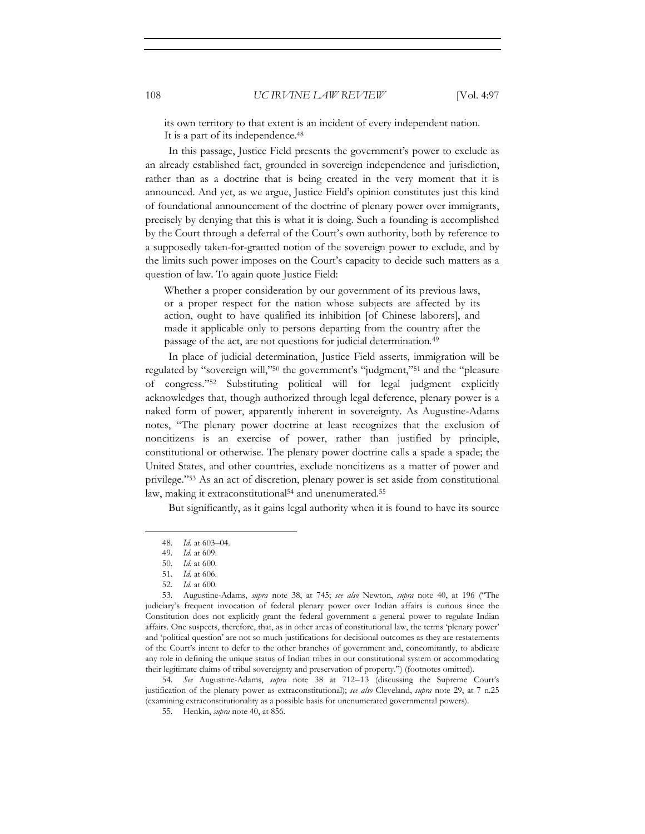its own territory to that extent is an incident of every independent nation. It is a part of its independence.<sup>48</sup>

In this passage, Justice Field presents the government's power to exclude as an already established fact, grounded in sovereign independence and jurisdiction, rather than as a doctrine that is being created in the very moment that it is announced. And yet, as we argue, Justice Field's opinion constitutes just this kind of foundational announcement of the doctrine of plenary power over immigrants, precisely by denying that this is what it is doing. Such a founding is accomplished by the Court through a deferral of the Court's own authority, both by reference to a supposedly taken-for-granted notion of the sovereign power to exclude, and by the limits such power imposes on the Court's capacity to decide such matters as a question of law. To again quote Justice Field:

Whether a proper consideration by our government of its previous laws, or a proper respect for the nation whose subjects are affected by its action, ought to have qualified its inhibition [of Chinese laborers], and made it applicable only to persons departing from the country after the passage of the act, are not questions for judicial determination*.* 49

In place of judicial determination, Justice Field asserts, immigration will be regulated by "sovereign will,"50 the government's "judgment,"51 and the "pleasure of congress."52 Substituting political will for legal judgment explicitly acknowledges that, though authorized through legal deference, plenary power is a naked form of power, apparently inherent in sovereignty. As Augustine-Adams notes, "The plenary power doctrine at least recognizes that the exclusion of noncitizens is an exercise of power, rather than justified by principle, constitutional or otherwise. The plenary power doctrine calls a spade a spade; the United States, and other countries, exclude noncitizens as a matter of power and privilege."53 As an act of discretion, plenary power is set aside from constitutional law, making it extraconstitutional<sup>54</sup> and unenumerated.<sup>55</sup>

But significantly, as it gains legal authority when it is found to have its source

 $\overline{a}$ 

54. *See* Augustine-Adams, *supra* note 38 at 712–13 (discussing the Supreme Court's justification of the plenary power as extraconstitutional); *see also* Cleveland, *supra* note 29, at 7 n.25 (examining extraconstitutionality as a possible basis for unenumerated governmental powers).

<sup>48.</sup> *Id.* at 603–04.

<sup>49.</sup> *Id.* at 609.

<sup>50.</sup> *Id.* at 600.

<sup>51.</sup> *Id.* at 606.

<sup>52.</sup> *Id.* at 600.

<sup>53.</sup> Augustine-Adams, *supra* note 38, at 745; *see also* Newton, *supra* note 40, at 196 ("The judiciary's frequent invocation of federal plenary power over Indian affairs is curious since the Constitution does not explicitly grant the federal government a general power to regulate Indian affairs. One suspects, therefore, that, as in other areas of constitutional law, the terms 'plenary power' and 'political question' are not so much justifications for decisional outcomes as they are restatements of the Court's intent to defer to the other branches of government and, concomitantly, to abdicate any role in defining the unique status of Indian tribes in our constitutional system or accommodating their legitimate claims of tribal sovereignty and preservation of property.") (footnotes omitted).

<sup>55.</sup> Henkin, *supra* note 40, at 856.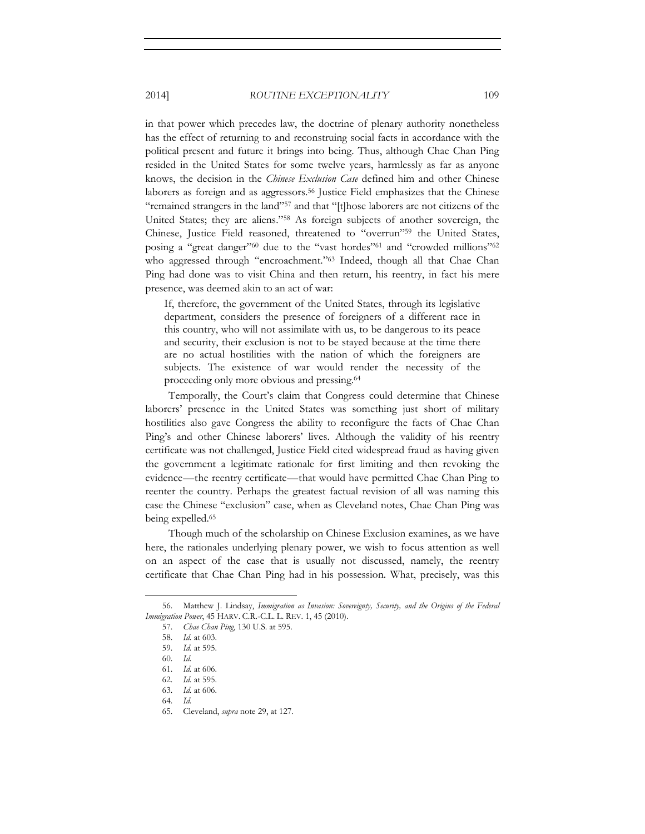in that power which precedes law, the doctrine of plenary authority nonetheless has the effect of returning to and reconstruing social facts in accordance with the political present and future it brings into being. Thus, although Chae Chan Ping resided in the United States for some twelve years, harmlessly as far as anyone knows, the decision in the *Chinese Exclusion Case* defined him and other Chinese laborers as foreign and as aggressors.<sup>56</sup> Justice Field emphasizes that the Chinese "remained strangers in the land"57 and that "[t]hose laborers are not citizens of the United States; they are aliens."58 As foreign subjects of another sovereign, the Chinese, Justice Field reasoned, threatened to "overrun"59 the United States, posing a "great danger"<sup>60</sup> due to the "vast hordes"<sup>61</sup> and "crowded millions"<sup>62</sup> who aggressed through "encroachment."<sup>63</sup> Indeed, though all that Chae Chan Ping had done was to visit China and then return, his reentry, in fact his mere presence, was deemed akin to an act of war:

If, therefore, the government of the United States, through its legislative department, considers the presence of foreigners of a different race in this country, who will not assimilate with us, to be dangerous to its peace and security, their exclusion is not to be stayed because at the time there are no actual hostilities with the nation of which the foreigners are subjects. The existence of war would render the necessity of the proceeding only more obvious and pressing.64

Temporally, the Court's claim that Congress could determine that Chinese laborers' presence in the United States was something just short of military hostilities also gave Congress the ability to reconfigure the facts of Chae Chan Ping's and other Chinese laborers' lives. Although the validity of his reentry certificate was not challenged, Justice Field cited widespread fraud as having given the government a legitimate rationale for first limiting and then revoking the evidence—the reentry certificate—that would have permitted Chae Chan Ping to reenter the country. Perhaps the greatest factual revision of all was naming this case the Chinese "exclusion" case, when as Cleveland notes, Chae Chan Ping was being expelled.<sup>65</sup>

Though much of the scholarship on Chinese Exclusion examines, as we have here, the rationales underlying plenary power, we wish to focus attention as well on an aspect of the case that is usually not discussed, namely, the reentry certificate that Chae Chan Ping had in his possession. What, precisely, was this

60. *Id.*

- 63. *Id.* at 606.
- 64. *Id.*

<sup>56.</sup> Matthew J. Lindsay, *Immigration as Invasion: Sovereignty, Security, and the Origins of the Federal Immigration Power*, 45 HARV. C.R.-C.L. L. REV. 1, 45 (2010).

<sup>57.</sup> *Chae Chan Ping*, 130 U.S. at 595.

<sup>58.</sup> *Id.* at 603.

<sup>59.</sup> *Id.* at 595.

<sup>61.</sup> *Id.* at 606.

<sup>62.</sup> *Id.* at 595.

<sup>65.</sup> Cleveland, *supra* note 29, at 127.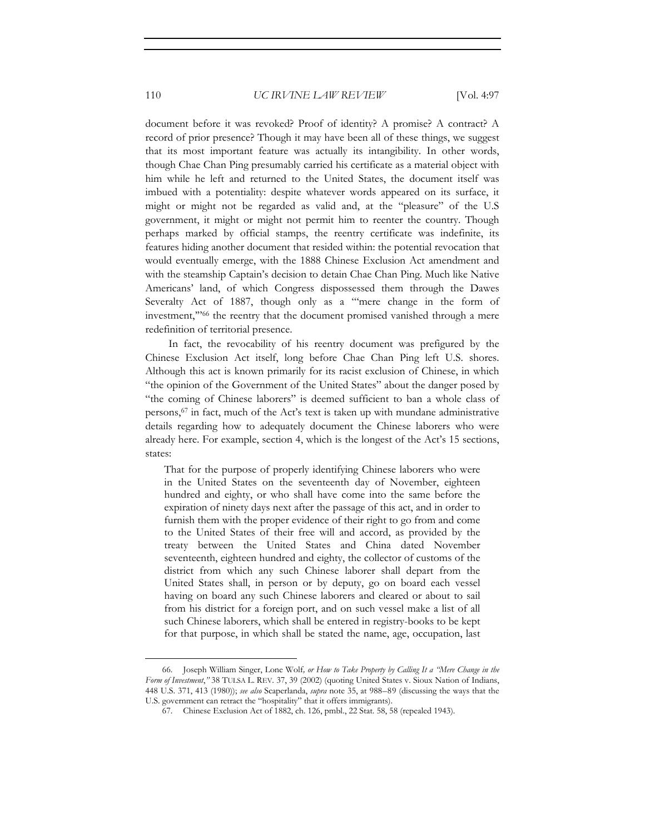document before it was revoked? Proof of identity? A promise? A contract? A record of prior presence? Though it may have been all of these things, we suggest that its most important feature was actually its intangibility. In other words, though Chae Chan Ping presumably carried his certificate as a material object with him while he left and returned to the United States, the document itself was imbued with a potentiality: despite whatever words appeared on its surface, it might or might not be regarded as valid and, at the "pleasure" of the U.S government, it might or might not permit him to reenter the country. Though perhaps marked by official stamps, the reentry certificate was indefinite, its features hiding another document that resided within: the potential revocation that would eventually emerge, with the 1888 Chinese Exclusion Act amendment and with the steamship Captain's decision to detain Chae Chan Ping. Much like Native Americans' land, of which Congress dispossessed them through the Dawes Severalty Act of 1887, though only as a "mere change in the form of investment,'"66 the reentry that the document promised vanished through a mere redefinition of territorial presence.

In fact, the revocability of his reentry document was prefigured by the Chinese Exclusion Act itself, long before Chae Chan Ping left U.S. shores. Although this act is known primarily for its racist exclusion of Chinese, in which "the opinion of the Government of the United States" about the danger posed by "the coming of Chinese laborers" is deemed sufficient to ban a whole class of persons,67 in fact, much of the Act's text is taken up with mundane administrative details regarding how to adequately document the Chinese laborers who were already here. For example, section 4, which is the longest of the Act's 15 sections, states:

That for the purpose of properly identifying Chinese laborers who were in the United States on the seventeenth day of November, eighteen hundred and eighty, or who shall have come into the same before the expiration of ninety days next after the passage of this act, and in order to furnish them with the proper evidence of their right to go from and come to the United States of their free will and accord, as provided by the treaty between the United States and China dated November seventeenth, eighteen hundred and eighty, the collector of customs of the district from which any such Chinese laborer shall depart from the United States shall, in person or by deputy, go on board each vessel having on board any such Chinese laborers and cleared or about to sail from his district for a foreign port, and on such vessel make a list of all such Chinese laborers, which shall be entered in registry-books to be kept for that purpose, in which shall be stated the name, age, occupation, last

<sup>66.</sup> Joseph William Singer, Lone Wolf*, or How to Take Property by Calling It a "Mere Change in the Form of Investment*,*"* 38 TULSA L. REV. 37, 39 (2002) (quoting United States v. Sioux Nation of Indians, 448 U.S. 371, 413 (1980)); *see also* Scaperlanda, *supra* note 35, at 988–89 (discussing the ways that the U.S. government can retract the "hospitality" that it offers immigrants).

<sup>67.</sup> Chinese Exclusion Act of 1882, ch. 126, pmbl., 22 Stat. 58, 58 (repealed 1943).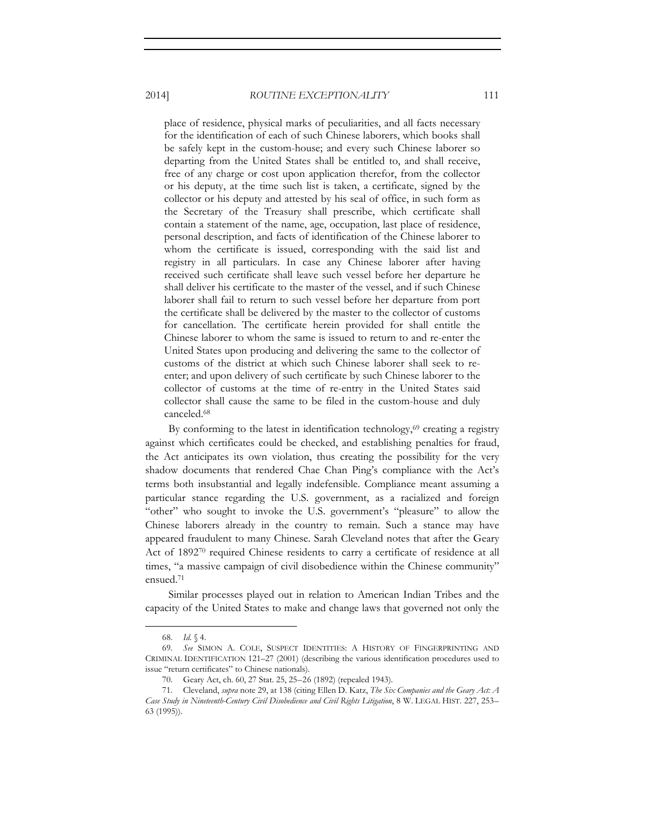place of residence, physical marks of peculiarities, and all facts necessary for the identification of each of such Chinese laborers, which books shall be safely kept in the custom-house; and every such Chinese laborer so departing from the United States shall be entitled to, and shall receive, free of any charge or cost upon application therefor, from the collector or his deputy, at the time such list is taken, a certificate, signed by the collector or his deputy and attested by his seal of office, in such form as the Secretary of the Treasury shall prescribe, which certificate shall contain a statement of the name, age, occupation, last place of residence, personal description, and facts of identification of the Chinese laborer to whom the certificate is issued, corresponding with the said list and registry in all particulars. In case any Chinese laborer after having received such certificate shall leave such vessel before her departure he shall deliver his certificate to the master of the vessel, and if such Chinese laborer shall fail to return to such vessel before her departure from port the certificate shall be delivered by the master to the collector of customs for cancellation. The certificate herein provided for shall entitle the Chinese laborer to whom the same is issued to return to and re-enter the United States upon producing and delivering the same to the collector of customs of the district at which such Chinese laborer shall seek to reenter; and upon delivery of such certificate by such Chinese laborer to the collector of customs at the time of re-entry in the United States said collector shall cause the same to be filed in the custom-house and duly canceled.68

By conforming to the latest in identification technology,<sup>69</sup> creating a registry against which certificates could be checked, and establishing penalties for fraud, the Act anticipates its own violation, thus creating the possibility for the very shadow documents that rendered Chae Chan Ping's compliance with the Act's terms both insubstantial and legally indefensible. Compliance meant assuming a particular stance regarding the U.S. government, as a racialized and foreign "other" who sought to invoke the U.S. government's "pleasure" to allow the Chinese laborers already in the country to remain. Such a stance may have appeared fraudulent to many Chinese. Sarah Cleveland notes that after the Geary Act of 189270 required Chinese residents to carry a certificate of residence at all times, "a massive campaign of civil disobedience within the Chinese community" ensued.71

Similar processes played out in relation to American Indian Tribes and the capacity of the United States to make and change laws that governed not only the

<sup>68.</sup> *Id*. § 4.

<sup>69.</sup> *See* SIMON A. COLE, SUSPECT IDENTITIES: A HISTORY OF FINGERPRINTING AND CRIMINAL IDENTIFICATION 121–27 (2001) (describing the various identification procedures used to issue "return certificates" to Chinese nationals).

<sup>70.</sup> Geary Act, ch. 60, 27 Stat. 25, 25–26 (1892) (repealed 1943).

<sup>71.</sup> Cleveland, *supra* note 29, at 138 (citing Ellen D. Katz, *The Six Companies and the Geary Act: A Case Study in Nineteenth-Century Civil Disobedience and Civil Rights Litigation*, 8 W. LEGAL HIST. 227, 253– 63 (1995)).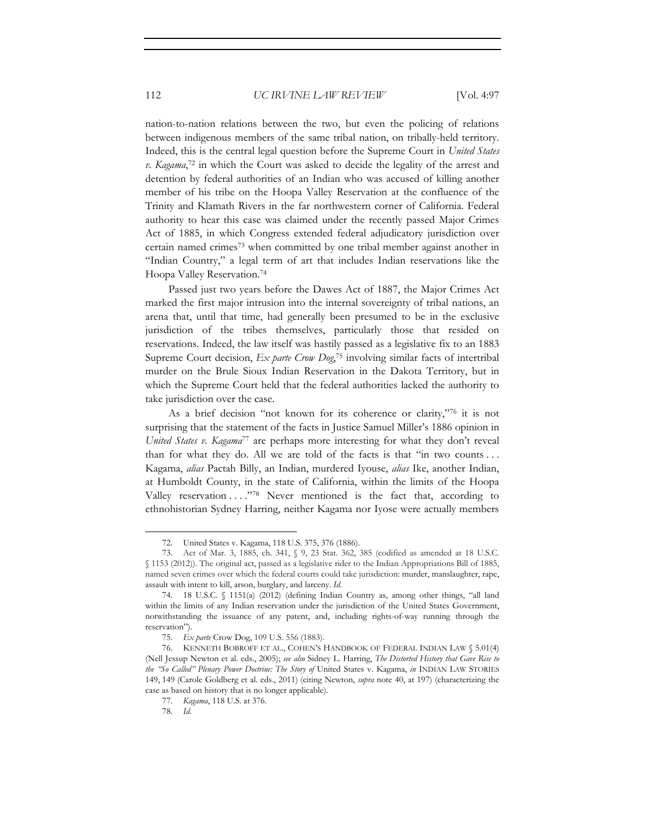nation-to-nation relations between the two, but even the policing of relations between indigenous members of the same tribal nation, on tribally-held territory. Indeed, this is the central legal question before the Supreme Court in *United States v. Kagama*, 72 in which the Court was asked to decide the legality of the arrest and detention by federal authorities of an Indian who was accused of killing another member of his tribe on the Hoopa Valley Reservation at the confluence of the Trinity and Klamath Rivers in the far northwestern corner of California. Federal authority to hear this case was claimed under the recently passed Major Crimes Act of 1885, in which Congress extended federal adjudicatory jurisdiction over certain named crimes73 when committed by one tribal member against another in "Indian Country," a legal term of art that includes Indian reservations like the Hoopa Valley Reservation.74

Passed just two years before the Dawes Act of 1887, the Major Crimes Act marked the first major intrusion into the internal sovereignty of tribal nations, an arena that, until that time, had generally been presumed to be in the exclusive jurisdiction of the tribes themselves, particularly those that resided on reservations. Indeed, the law itself was hastily passed as a legislative fix to an 1883 Supreme Court decision, *Ex parte Crow Dog*, <sup>75</sup> involving similar facts of intertribal murder on the Brule Sioux Indian Reservation in the Dakota Territory, but in which the Supreme Court held that the federal authorities lacked the authority to take jurisdiction over the case.

As a brief decision "not known for its coherence or clarity,"76 it is not surprising that the statement of the facts in Justice Samuel Miller's 1886 opinion in *United States v. Kagama*77 are perhaps more interesting for what they don't reveal than for what they do. All we are told of the facts is that "in two counts . . . Kagama, *alias* Pactah Billy, an Indian, murdered Iyouse, *alias* Ike, another Indian, at Humboldt County, in the state of California, within the limits of the Hoopa Valley reservation . . . . "78 Never mentioned is the fact that, according to ethnohistorian Sydney Harring, neither Kagama nor Iyose were actually members

<sup>72.</sup> United States v. Kagama, 118 U.S. 375, 376 (1886).

<sup>73.</sup> Act of Mar. 3, 1885, ch. 341, § 9, 23 Stat. 362, 385 (codified as amended at 18 U.S.C. § 1153 (2012)). The original act, passed as a legislative rider to the Indian Appropriations Bill of 1885, named seven crimes over which the federal courts could take jurisdiction: murder, manslaughter, rape, assault with intent to kill, arson, burglary, and larceny. *Id.*

<sup>74. 18</sup> U.S.C. § 1151(a) (2012) (defining Indian Country as, among other things, "all land within the limits of any Indian reservation under the jurisdiction of the United States Government, notwithstanding the issuance of any patent, and, including rights-of-way running through the reservation").

<sup>75.</sup> *Ex parte* Crow Dog, 109 U.S. 556 (1883).

<sup>76.</sup> KENNETH BOBROFF ET AL., COHEN'S HANDBOOK OF FEDERAL INDIAN LAW § 5.01(4) (Nell Jessup Newton et al. eds., 2005); *see also* Sidney L. Harring, *The Distorted History that Gave Rise to the "So Called" Plenary Power Doctrine: The Story of* United States v. Kagama, *in* INDIAN LAW STORIES 149, 149 (Carole Goldberg et al. eds., 2011) (citing Newton, *supra* note 40, at 197) (characterizing the case as based on history that is no longer applicable).

<sup>77.</sup> *Kagama*, 118 U.S. at 376.

<sup>78.</sup> *Id.*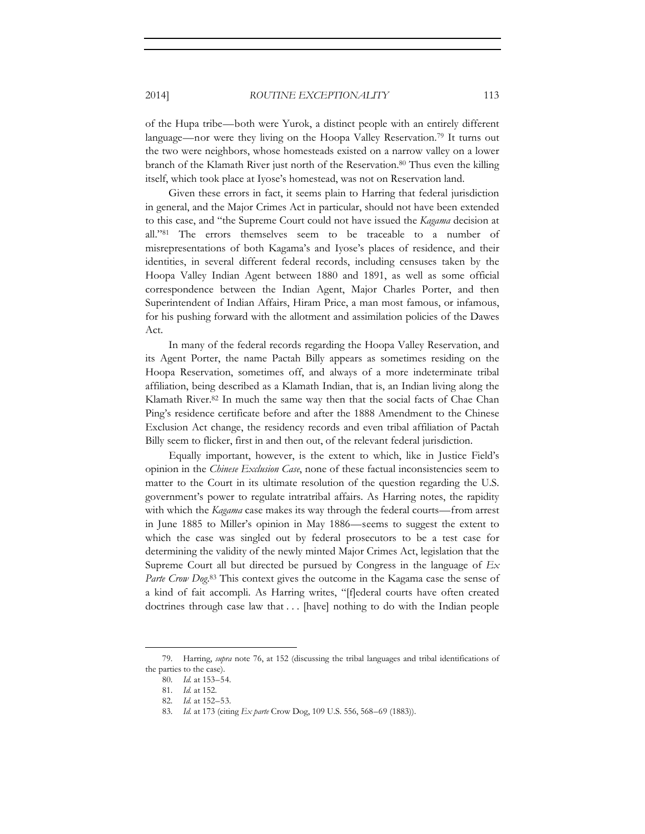of the Hupa tribe—both were Yurok, a distinct people with an entirely different language—nor were they living on the Hoopa Valley Reservation.79 It turns out the two were neighbors, whose homesteads existed on a narrow valley on a lower branch of the Klamath River just north of the Reservation.80 Thus even the killing itself, which took place at Iyose's homestead, was not on Reservation land.

Given these errors in fact, it seems plain to Harring that federal jurisdiction in general, and the Major Crimes Act in particular, should not have been extended to this case, and "the Supreme Court could not have issued the *Kagama* decision at all."81 The errors themselves seem to be traceable to a number of misrepresentations of both Kagama's and Iyose's places of residence, and their identities, in several different federal records, including censuses taken by the Hoopa Valley Indian Agent between 1880 and 1891, as well as some official correspondence between the Indian Agent, Major Charles Porter, and then Superintendent of Indian Affairs, Hiram Price, a man most famous, or infamous, for his pushing forward with the allotment and assimilation policies of the Dawes Act.

In many of the federal records regarding the Hoopa Valley Reservation, and its Agent Porter, the name Pactah Billy appears as sometimes residing on the Hoopa Reservation, sometimes off, and always of a more indeterminate tribal affiliation, being described as a Klamath Indian, that is, an Indian living along the Klamath River.<sup>82</sup> In much the same way then that the social facts of Chae Chan Ping's residence certificate before and after the 1888 Amendment to the Chinese Exclusion Act change, the residency records and even tribal affiliation of Pactah Billy seem to flicker, first in and then out, of the relevant federal jurisdiction.

Equally important, however, is the extent to which, like in Justice Field's opinion in the *Chinese Exclusion Case*, none of these factual inconsistencies seem to matter to the Court in its ultimate resolution of the question regarding the U.S. government's power to regulate intratribal affairs. As Harring notes, the rapidity with which the *Kagama* case makes its way through the federal courts—from arrest in June 1885 to Miller's opinion in May 1886—seems to suggest the extent to which the case was singled out by federal prosecutors to be a test case for determining the validity of the newly minted Major Crimes Act, legislation that the Supreme Court all but directed be pursued by Congress in the language of *Ex Parte Crow Dog*. 83 This context gives the outcome in the Kagama case the sense of a kind of fait accompli. As Harring writes, "[f]ederal courts have often created doctrines through case law that . . . [have] nothing to do with the Indian people

<sup>79.</sup> Harring, *supra* note 76, at 152 (discussing the tribal languages and tribal identifications of the parties to the case).

<sup>80.</sup> *Id.* at 153–54.

<sup>81.</sup> *Id.* at 152.

<sup>82.</sup> *Id.* at 152–53.

<sup>83.</sup> *Id.* at 173 (citing *Ex parte* Crow Dog, 109 U.S. 556, 568–69 (1883)).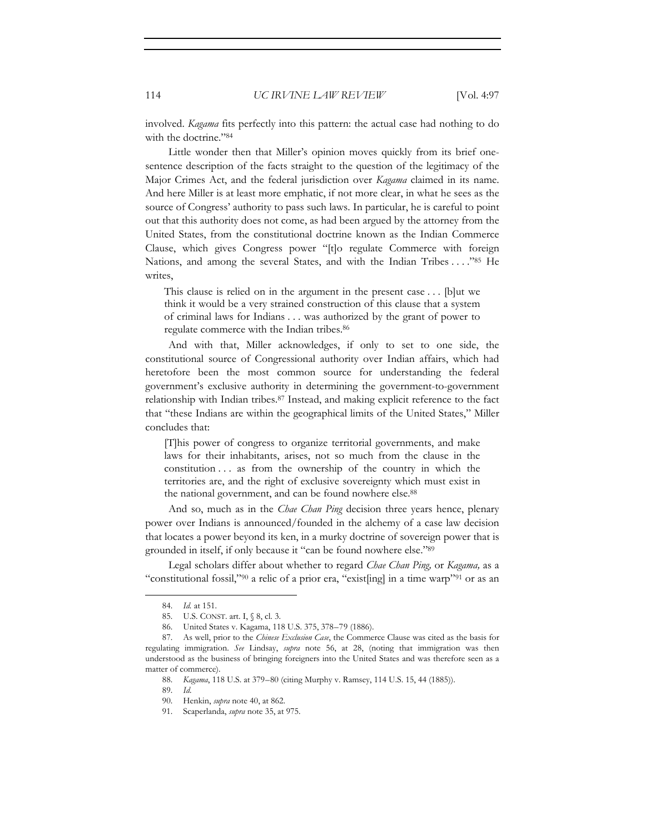involved. *Kagama* fits perfectly into this pattern: the actual case had nothing to do with the doctrine."<sup>84</sup>

Little wonder then that Miller's opinion moves quickly from its brief onesentence description of the facts straight to the question of the legitimacy of the Major Crimes Act, and the federal jurisdiction over *Kagama* claimed in its name. And here Miller is at least more emphatic, if not more clear, in what he sees as the source of Congress' authority to pass such laws. In particular, he is careful to point out that this authority does not come, as had been argued by the attorney from the United States, from the constitutional doctrine known as the Indian Commerce Clause, which gives Congress power "[t]o regulate Commerce with foreign Nations, and among the several States, and with the Indian Tribes . . . ."85 He writes,

This clause is relied on in the argument in the present case . . . [b]ut we think it would be a very strained construction of this clause that a system of criminal laws for Indians . . . was authorized by the grant of power to regulate commerce with the Indian tribes.86

And with that, Miller acknowledges, if only to set to one side, the constitutional source of Congressional authority over Indian affairs, which had heretofore been the most common source for understanding the federal government's exclusive authority in determining the government-to-government relationship with Indian tribes.87 Instead, and making explicit reference to the fact that "these Indians are within the geographical limits of the United States," Miller concludes that:

[T]his power of congress to organize territorial governments, and make laws for their inhabitants, arises, not so much from the clause in the constitution . . . as from the ownership of the country in which the territories are, and the right of exclusive sovereignty which must exist in the national government, and can be found nowhere else.<sup>88</sup>

And so, much as in the *Chae Chan Ping* decision three years hence, plenary power over Indians is announced/founded in the alchemy of a case law decision that locates a power beyond its ken, in a murky doctrine of sovereign power that is grounded in itself, if only because it "can be found nowhere else."89

Legal scholars differ about whether to regard *Chae Chan Ping,* or *Kagama,* as a "constitutional fossil,"90 a relic of a prior era, "exist[ing] in a time warp"91 or as an

<sup>84.</sup> *Id.* at 151.

<sup>85.</sup> U.S. CONST. art. I, § 8, cl. 3.

<sup>86.</sup> United States v. Kagama, 118 U.S. 375, 378–79 (1886).

<sup>87.</sup> As well, prior to the *Chinese Exclusion Case*, the Commerce Clause was cited as the basis for regulating immigration. *See* Lindsay, *supra* note 56, at 28, (noting that immigration was then understood as the business of bringing foreigners into the United States and was therefore seen as a matter of commerce).

<sup>88.</sup> *Kagama*, 118 U.S. at 379–80 (citing Murphy v. Ramsey, 114 U.S. 15, 44 (1885)).

<sup>89.</sup> *Id.*

<sup>90.</sup> Henkin, *supra* note 40, at 862.

<sup>91.</sup> Scaperlanda, *supra* note 35, at 975.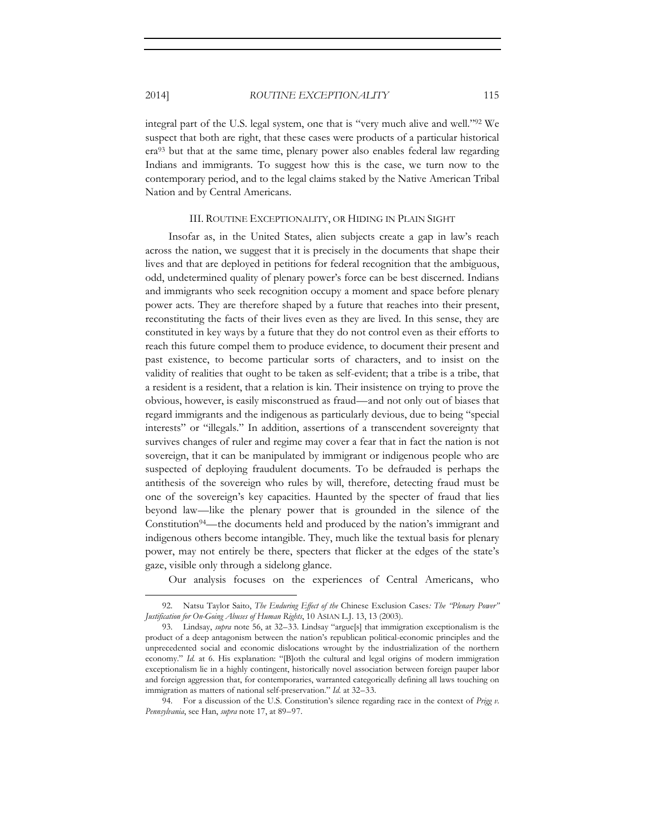integral part of the U.S. legal system, one that is "very much alive and well."92 We suspect that both are right, that these cases were products of a particular historical era93 but that at the same time, plenary power also enables federal law regarding Indians and immigrants. To suggest how this is the case, we turn now to the contemporary period, and to the legal claims staked by the Native American Tribal Nation and by Central Americans.

## III. ROUTINE EXCEPTIONALITY, OR HIDING IN PLAIN SIGHT

Insofar as, in the United States, alien subjects create a gap in law's reach across the nation, we suggest that it is precisely in the documents that shape their lives and that are deployed in petitions for federal recognition that the ambiguous, odd, undetermined quality of plenary power's force can be best discerned. Indians and immigrants who seek recognition occupy a moment and space before plenary power acts. They are therefore shaped by a future that reaches into their present, reconstituting the facts of their lives even as they are lived. In this sense, they are constituted in key ways by a future that they do not control even as their efforts to reach this future compel them to produce evidence, to document their present and past existence, to become particular sorts of characters, and to insist on the validity of realities that ought to be taken as self-evident; that a tribe is a tribe, that a resident is a resident, that a relation is kin. Their insistence on trying to prove the obvious, however, is easily misconstrued as fraud—and not only out of biases that regard immigrants and the indigenous as particularly devious, due to being "special interests" or "illegals." In addition, assertions of a transcendent sovereignty that survives changes of ruler and regime may cover a fear that in fact the nation is not sovereign, that it can be manipulated by immigrant or indigenous people who are suspected of deploying fraudulent documents. To be defrauded is perhaps the antithesis of the sovereign who rules by will, therefore, detecting fraud must be one of the sovereign's key capacities. Haunted by the specter of fraud that lies beyond law—like the plenary power that is grounded in the silence of the Constitution94—the documents held and produced by the nation's immigrant and indigenous others become intangible. They, much like the textual basis for plenary power, may not entirely be there, specters that flicker at the edges of the state's gaze, visible only through a sidelong glance.

Our analysis focuses on the experiences of Central Americans, who

<sup>92.</sup> Natsu Taylor Saito, *The Enduring Effect of the* Chinese Exclusion Cases*: The "Plenary Power" Justification for On-Going Abuses of Human Rights*, 10 ASIAN L.J. 13, 13 (2003).

<sup>93.</sup> Lindsay, *supra* note 56, at 32–33. Lindsay "argue[s] that immigration exceptionalism is the product of a deep antagonism between the nation's republican political-economic principles and the unprecedented social and economic dislocations wrought by the industrialization of the northern economy." *Id.* at 6. His explanation: "[B]oth the cultural and legal origins of modern immigration exceptionalism lie in a highly contingent, historically novel association between foreign pauper labor and foreign aggression that, for contemporaries, warranted categorically defining all laws touching on immigration as matters of national self-preservation." *Id.* at 32–33.

<sup>94.</sup> For a discussion of the U.S. Constitution's silence regarding race in the context of *Prigg v*. *Pennsylvania*, see Han, *supra* note 17, at 89–97.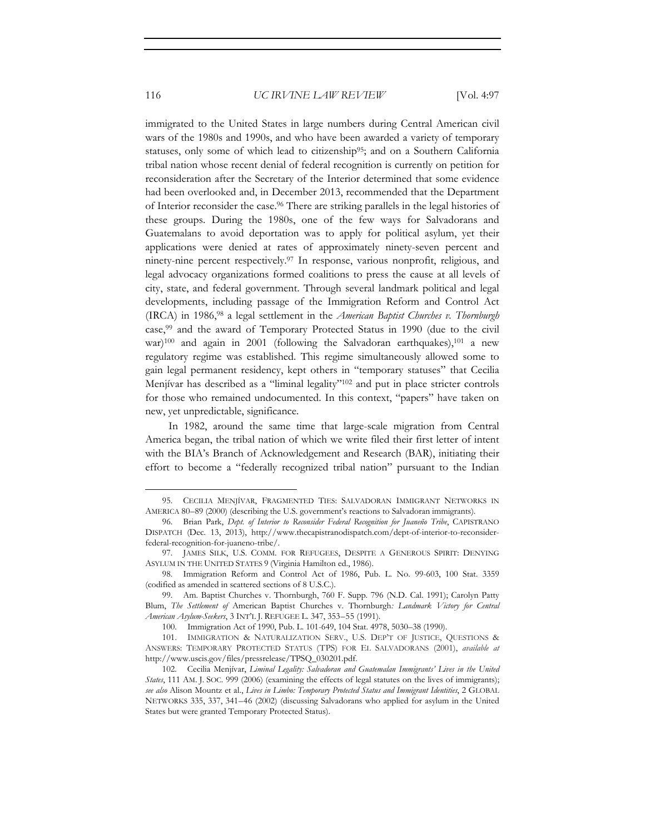immigrated to the United States in large numbers during Central American civil wars of the 1980s and 1990s, and who have been awarded a variety of temporary statuses, only some of which lead to citizenship95; and on a Southern California tribal nation whose recent denial of federal recognition is currently on petition for reconsideration after the Secretary of the Interior determined that some evidence had been overlooked and, in December 2013, recommended that the Department of Interior reconsider the case.96 There are striking parallels in the legal histories of these groups. During the 1980s, one of the few ways for Salvadorans and Guatemalans to avoid deportation was to apply for political asylum, yet their applications were denied at rates of approximately ninety-seven percent and ninety-nine percent respectively.97 In response, various nonprofit, religious, and legal advocacy organizations formed coalitions to press the cause at all levels of city, state, and federal government. Through several landmark political and legal developments, including passage of the Immigration Reform and Control Act (IRCA) in 1986,98 a legal settlement in the *American Baptist Churches v. Thornburgh*  case,99 and the award of Temporary Protected Status in 1990 (due to the civil war)<sup>100</sup> and again in 2001 (following the Salvadoran earthquakes),<sup>101</sup> a new regulatory regime was established. This regime simultaneously allowed some to gain legal permanent residency, kept others in "temporary statuses" that Cecilia Menjívar has described as a "liminal legality"<sup>102</sup> and put in place stricter controls for those who remained undocumented. In this context, "papers" have taken on new, yet unpredictable, significance.

In 1982, around the same time that large-scale migration from Central America began, the tribal nation of which we write filed their first letter of intent with the BIA's Branch of Acknowledgement and Research (BAR), initiating their effort to become a "federally recognized tribal nation" pursuant to the Indian

<sup>95.</sup> CECILIA MENJÍVAR, FRAGMENTED TIES: SALVADORAN IMMIGRANT NETWORKS IN AMERICA 80–89 (2000) (describing the U.S. government's reactions to Salvadoran immigrants).

<sup>96.</sup> Brian Park, *Dept. of Interior to Reconsider Federal Recognition for Juaneño Tribe*, CAPISTRANO DISPATCH (Dec. 13, 2013), http://www.thecapistranodispatch.com/dept-of-interior-to-reconsiderfederal-recognition-for-juaneno-tribe/.

<sup>97.</sup> JAMES SILK, U.S. COMM. FOR REFUGEES, DESPITE A GENEROUS SPIRIT: DENYING ASYLUM IN THE UNITED STATES 9 (Virginia Hamilton ed., 1986).

<sup>98.</sup> Immigration Reform and Control Act of 1986, Pub. L. No. 99-603, 100 Stat. 3359 (codified as amended in scattered sections of 8 U.S.C.).

<sup>99.</sup> Am. Baptist Churches v. Thornburgh, 760 F. Supp. 796 (N.D. Cal. 1991); Carolyn Patty Blum, *The Settlement of* American Baptist Churches v. Thornburgh*: Landmark Victory for Central American Asylum-Seekers*, 3 INT'L J. REFUGEE L. 347, 353–55 (1991).

<sup>100.</sup> Immigration Act of 1990, Pub. L. 101-649, 104 Stat. 4978, 5030–38 (1990).

<sup>101.</sup> IMMIGRATION & NATURALIZATION SERV., U.S. DEP'T OF JUSTICE, QUESTIONS & ANSWERS: TEMPORARY PROTECTED STATUS (TPS) FOR EL SALVADORANS (2001), *available at* http://www.uscis.gov/files/pressrelease/TPSQ\_030201.pdf.

<sup>102.</sup> Cecilia Menjívar, *Liminal Legality: Salvadoran and Guatemalan Immigrants' Lives in the United States*, 111 AM. J. SOC. 999 (2006) (examining the effects of legal statutes on the lives of immigrants); *see also* Alison Mountz et al., *Lives in Limbo: Temporary Protected Status and Immigrant Identities*, 2 GLOBAL NETWORKS 335, 337, 341–46 (2002) (discussing Salvadorans who applied for asylum in the United States but were granted Temporary Protected Status).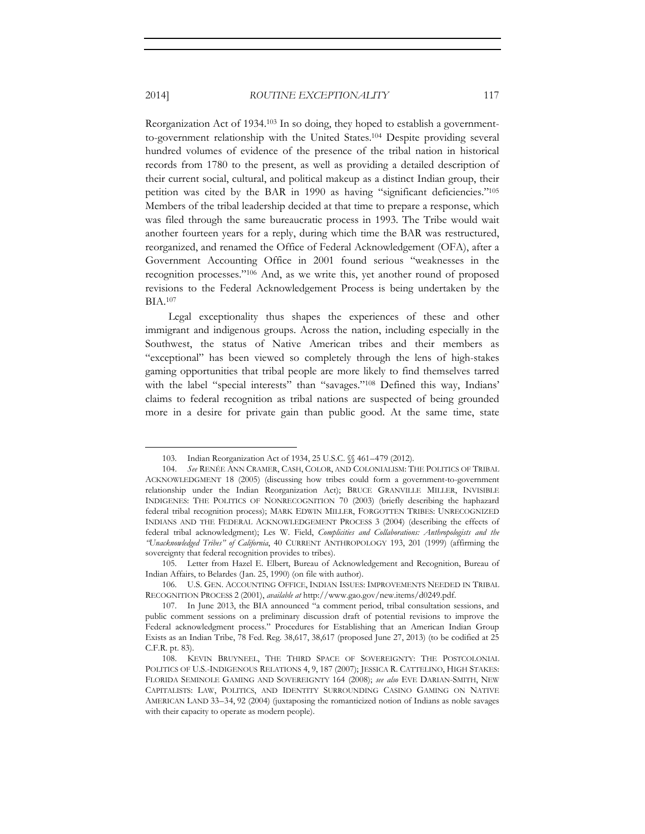Reorganization Act of 1934.103 In so doing, they hoped to establish a governmentto-government relationship with the United States.104 Despite providing several hundred volumes of evidence of the presence of the tribal nation in historical records from 1780 to the present, as well as providing a detailed description of their current social, cultural, and political makeup as a distinct Indian group, their petition was cited by the BAR in 1990 as having "significant deficiencies."105 Members of the tribal leadership decided at that time to prepare a response, which was filed through the same bureaucratic process in 1993. The Tribe would wait another fourteen years for a reply, during which time the BAR was restructured, reorganized, and renamed the Office of Federal Acknowledgement (OFA), after a Government Accounting Office in 2001 found serious "weaknesses in the recognition processes."106 And, as we write this, yet another round of proposed revisions to the Federal Acknowledgement Process is being undertaken by the BIA.107

Legal exceptionality thus shapes the experiences of these and other immigrant and indigenous groups. Across the nation, including especially in the Southwest, the status of Native American tribes and their members as "exceptional" has been viewed so completely through the lens of high-stakes gaming opportunities that tribal people are more likely to find themselves tarred with the label "special interests" than "savages."<sup>108</sup> Defined this way, Indians' claims to federal recognition as tribal nations are suspected of being grounded more in a desire for private gain than public good. At the same time, state

<sup>103.</sup> Indian Reorganization Act of 1934, 25 U.S.C. §§ 461–479 (2012).

<sup>104.</sup> *See* RENÉE ANN CRAMER, CASH, COLOR, AND COLONIALISM: THE POLITICS OF TRIBAL ACKNOWLEDGMENT 18 (2005) (discussing how tribes could form a government-to-government relationship under the Indian Reorganization Act); BRUCE GRANVILLE MILLER, INVISIBLE INDIGENES: THE POLITICS OF NONRECOGNITION 70 (2003) (briefly describing the haphazard federal tribal recognition process); MARK EDWIN MILLER, FORGOTTEN TRIBES: UNRECOGNIZED INDIANS AND THE FEDERAL ACKNOWLEDGEMENT PROCESS 3 (2004) (describing the effects of federal tribal acknowledgment); Les W. Field, *Complicities and Collaborations: Anthropologists and the "Unacknowledged Tribes" of California*, 40 CURRENT ANTHROPOLOGY 193, 201 (1999) (affirming the sovereignty that federal recognition provides to tribes).

<sup>105.</sup> Letter from Hazel E. Elbert, Bureau of Acknowledgement and Recognition, Bureau of Indian Affairs, to Belardes (Jan. 25, 1990) (on file with author).

<sup>106.</sup> U.S. GEN. ACCOUNTING OFFICE, INDIAN ISSUES: IMPROVEMENTS NEEDED IN TRIBAL RECOGNITION PROCESS 2 (2001), *available at* http://www.gao.gov/new.items/d0249.pdf.

<sup>107.</sup> In June 2013, the BIA announced "a comment period, tribal consultation sessions, and public comment sessions on a preliminary discussion draft of potential revisions to improve the Federal acknowledgment process." Procedures for Establishing that an American Indian Group Exists as an Indian Tribe, 78 Fed. Reg. 38,617, 38,617 (proposed June 27, 2013) (to be codified at 25 C.F.R. pt. 83).

<sup>108.</sup> KEVIN BRUYNEEL, THE THIRD SPACE OF SOVEREIGNTY: THE POSTCOLONIAL POLITICS OF U.S.-INDIGENOUS RELATIONS 4, 9, 187 (2007); JESSICA R. CATTELINO, HIGH STAKES: FLORIDA SEMINOLE GAMING AND SOVEREIGNTY 164 (2008); *see also* EVE DARIAN-SMITH, NEW CAPITALISTS: LAW, POLITICS, AND IDENTITY SURROUNDING CASINO GAMING ON NATIVE AMERICAN LAND 33–34, 92 (2004) (juxtaposing the romanticized notion of Indians as noble savages with their capacity to operate as modern people).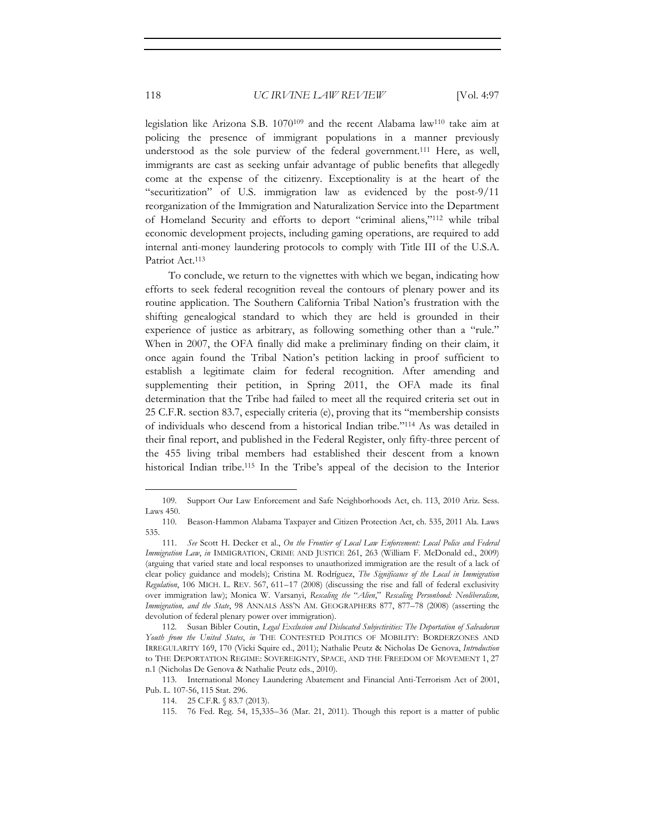legislation like Arizona S.B. 1070109 and the recent Alabama law110 take aim at policing the presence of immigrant populations in a manner previously understood as the sole purview of the federal government.111 Here, as well, immigrants are cast as seeking unfair advantage of public benefits that allegedly come at the expense of the citizenry. Exceptionality is at the heart of the "securitization" of U.S. immigration law as evidenced by the post-9/11 reorganization of the Immigration and Naturalization Service into the Department of Homeland Security and efforts to deport "criminal aliens,"112 while tribal economic development projects, including gaming operations, are required to add internal anti-money laundering protocols to comply with Title III of the U.S.A. Patriot Act.<sup>113</sup>

To conclude, we return to the vignettes with which we began, indicating how efforts to seek federal recognition reveal the contours of plenary power and its routine application. The Southern California Tribal Nation's frustration with the shifting genealogical standard to which they are held is grounded in their experience of justice as arbitrary, as following something other than a "rule." When in 2007, the OFA finally did make a preliminary finding on their claim, it once again found the Tribal Nation's petition lacking in proof sufficient to establish a legitimate claim for federal recognition. After amending and supplementing their petition, in Spring 2011, the OFA made its final determination that the Tribe had failed to meet all the required criteria set out in 25 C.F.R. section 83.7, especially criteria (e), proving that its "membership consists of individuals who descend from a historical Indian tribe."114 As was detailed in their final report, and published in the Federal Register, only fifty-three percent of the 455 living tribal members had established their descent from a known historical Indian tribe.<sup>115</sup> In the Tribe's appeal of the decision to the Interior

<sup>109.</sup> Support Our Law Enforcement and Safe Neighborhoods Act, ch. 113, 2010 Ariz. Sess. Laws 450.

<sup>110.</sup> Beason-Hammon Alabama Taxpayer and Citizen Protection Act, ch. 535, 2011 Ala. Laws 535.

<sup>111.</sup> *See* Scott H. Decker et al., *On the Frontier of Local Law Enforcement: Local Police and Federal Immigration Law*, *in* IMMIGRATION, CRIME AND JUSTICE 261, 263 (William F. McDonald ed., 2009) (arguing that varied state and local responses to unauthorized immigration are the result of a lack of clear policy guidance and models); Cristina M. Rodríguez, *The Significance of the Local in Immigration Regulation*, 106 MICH. L. REV. 567, 611–17 (2008) (discussing the rise and fall of federal exclusivity over immigration law); Monica W. Varsanyi, *Rescaling the* "*Alien*," *Rescaling Personhood: Neoliberalism, Immigration, and the State*, 98 ANNALS ASS'N AM. GEOGRAPHERS 877, 877–78 (2008) (asserting the devolution of federal plenary power over immigration).

<sup>112.</sup> Susan Bibler Coutin, *Legal Exclusion and Dislocated Subjectivities: The Deportation of Salvadoran Youth from the United States*, *in* THE CONTESTED POLITICS OF MOBILITY: BORDERZONES AND IRREGULARITY 169, 170 (Vicki Squire ed., 2011); Nathalie Peutz & Nicholas De Genova, *Introduction*  to THE DEPORTATION REGIME: SOVEREIGNTY, SPACE, AND THE FREEDOM OF MOVEMENT 1, 27 n.1 (Nicholas De Genova & Nathalie Peutz eds., 2010).

<sup>113.</sup> International Money Laundering Abatement and Financial Anti-Terrorism Act of 2001, Pub. L. 107-56, 115 Stat. 296.

<sup>114. 25</sup> C.F.R. § 83.7 (2013).

<sup>115. 76</sup> Fed. Reg. 54, 15,335–36 (Mar. 21, 2011). Though this report is a matter of public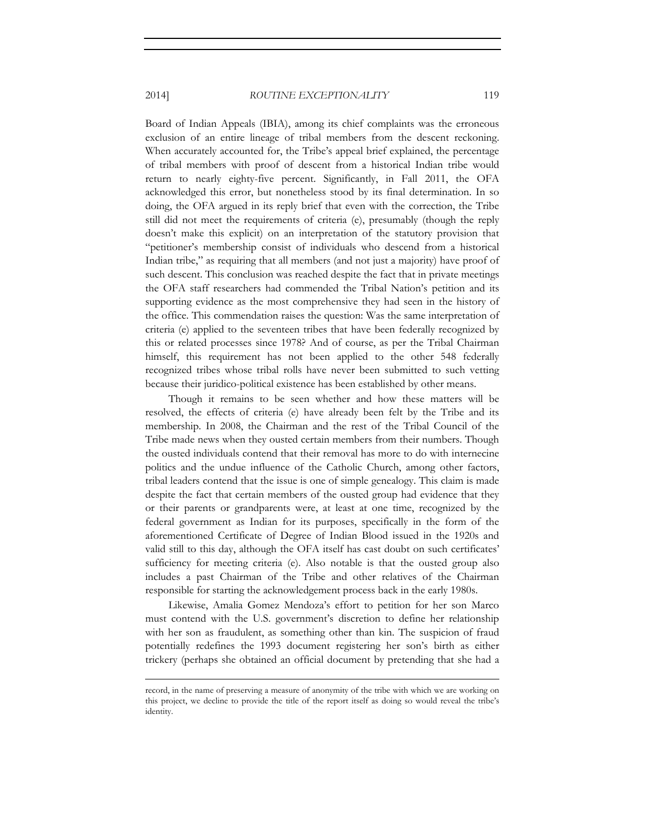Board of Indian Appeals (IBIA), among its chief complaints was the erroneous exclusion of an entire lineage of tribal members from the descent reckoning. When accurately accounted for, the Tribe's appeal brief explained, the percentage of tribal members with proof of descent from a historical Indian tribe would return to nearly eighty-five percent. Significantly, in Fall 2011, the OFA acknowledged this error, but nonetheless stood by its final determination. In so doing, the OFA argued in its reply brief that even with the correction, the Tribe still did not meet the requirements of criteria (e), presumably (though the reply doesn't make this explicit) on an interpretation of the statutory provision that "petitioner's membership consist of individuals who descend from a historical Indian tribe," as requiring that all members (and not just a majority) have proof of such descent. This conclusion was reached despite the fact that in private meetings the OFA staff researchers had commended the Tribal Nation's petition and its supporting evidence as the most comprehensive they had seen in the history of the office. This commendation raises the question: Was the same interpretation of criteria (e) applied to the seventeen tribes that have been federally recognized by this or related processes since 1978? And of course, as per the Tribal Chairman himself, this requirement has not been applied to the other 548 federally recognized tribes whose tribal rolls have never been submitted to such vetting because their juridico-political existence has been established by other means.

Though it remains to be seen whether and how these matters will be resolved, the effects of criteria (e) have already been felt by the Tribe and its membership. In 2008, the Chairman and the rest of the Tribal Council of the Tribe made news when they ousted certain members from their numbers. Though the ousted individuals contend that their removal has more to do with internecine politics and the undue influence of the Catholic Church, among other factors, tribal leaders contend that the issue is one of simple genealogy. This claim is made despite the fact that certain members of the ousted group had evidence that they or their parents or grandparents were, at least at one time, recognized by the federal government as Indian for its purposes, specifically in the form of the aforementioned Certificate of Degree of Indian Blood issued in the 1920s and valid still to this day, although the OFA itself has cast doubt on such certificates' sufficiency for meeting criteria (e). Also notable is that the ousted group also includes a past Chairman of the Tribe and other relatives of the Chairman responsible for starting the acknowledgement process back in the early 1980s.

Likewise, Amalia Gomez Mendoza's effort to petition for her son Marco must contend with the U.S. government's discretion to define her relationship with her son as fraudulent, as something other than kin. The suspicion of fraud potentially redefines the 1993 document registering her son's birth as either trickery (perhaps she obtained an official document by pretending that she had a

record, in the name of preserving a measure of anonymity of the tribe with which we are working on this project, we decline to provide the title of the report itself as doing so would reveal the tribe's identity.